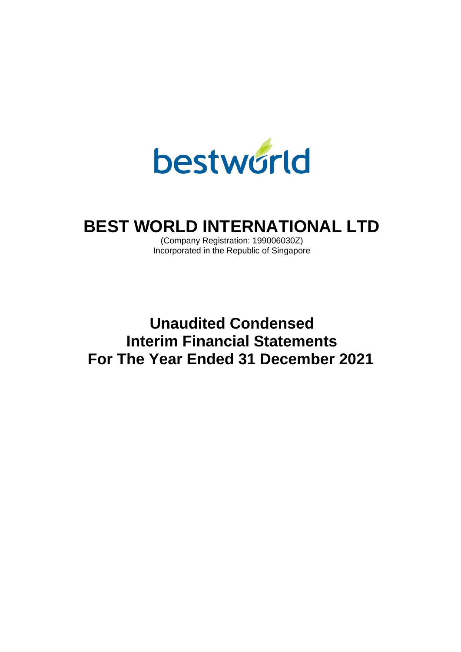

# **BEST WORLD INTERNATIONAL LTD**

(Company Registration: 199006030Z) Incorporated in the Republic of Singapore

**Unaudited Condensed Interim Financial Statements For The Year Ended 31 December 2021**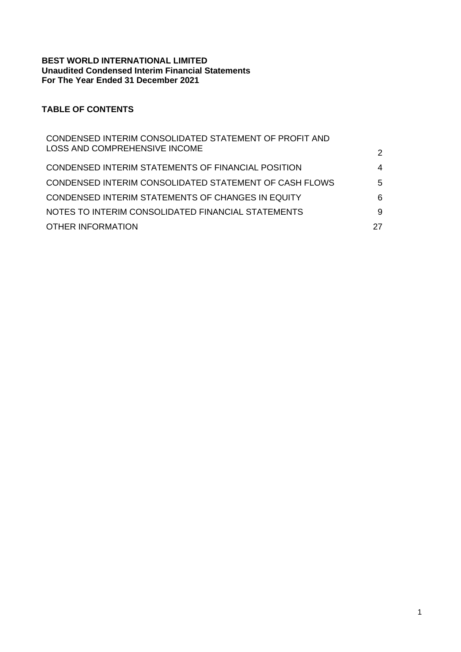### **BEST WORLD INTERNATIONAL LIMITED Unaudited Condensed Interim Financial Statements For The Year Ended 31 December 2021**

# **TABLE OF CONTENTS**

| CONDENSED INTERIM CONSOLIDATED STATEMENT OF PROFIT AND |               |
|--------------------------------------------------------|---------------|
| LOSS AND COMPREHENSIVE INCOME                          | $\mathcal{P}$ |
| CONDENSED INTERIM STATEMENTS OF FINANCIAL POSITION     | 4             |
| CONDENSED INTERIM CONSOLIDATED STATEMENT OF CASH FLOWS | 5             |
| CONDENSED INTERIM STATEMENTS OF CHANGES IN EQUITY      | 6             |
| NOTES TO INTERIM CONSOLIDATED FINANCIAL STATEMENTS     | 9             |
| <b>OTHER INFORMATION</b>                               | 27            |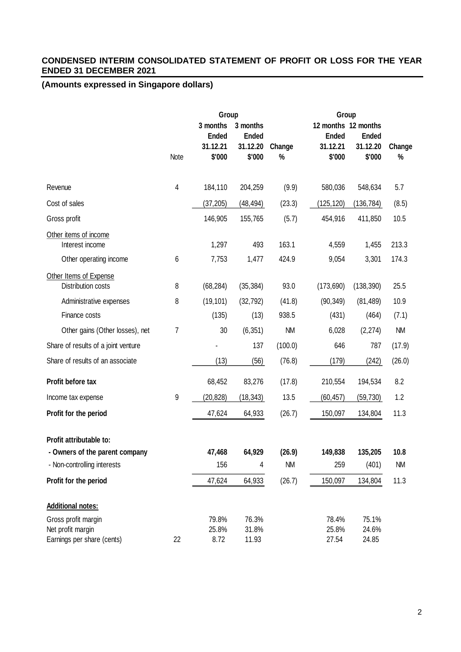# **CONDENSED INTERIM CONSOLIDATED STATEMENT OF PROFIT OR LOSS FOR THE YEAR ENDED 31 DECEMBER 2021**

|                                                               |      | Group                                          |                                                |                     |                                    | Group                                                     |                   |
|---------------------------------------------------------------|------|------------------------------------------------|------------------------------------------------|---------------------|------------------------------------|-----------------------------------------------------------|-------------------|
|                                                               | Note | 3 months<br><b>Ended</b><br>31.12.21<br>\$'000 | 3 months<br><b>Ended</b><br>31.12.20<br>\$'000 | Change<br>$\%$      | <b>Ended</b><br>31.12.21<br>\$'000 | 12 months 12 months<br><b>Ended</b><br>31.12.20<br>\$'000 | Change<br>$\%$    |
|                                                               |      |                                                |                                                |                     |                                    |                                                           |                   |
| Revenue                                                       | 4    | 184,110                                        | 204,259                                        | (9.9)               | 580,036                            | 548,634                                                   | 5.7               |
| Cost of sales                                                 |      | (37, 205)                                      | (48, 494)                                      | (23.3)              | (125,120)                          | (136, 784)                                                | (8.5)             |
| Gross profit                                                  |      | 146,905                                        | 155,765                                        | (5.7)               | 454,916                            | 411,850                                                   | 10.5              |
| Other items of income<br>Interest income                      |      | 1,297                                          | 493                                            | 163.1               | 4,559                              | 1,455                                                     | 213.3             |
| Other operating income                                        | 6    | 7,753                                          | 1,477                                          | 424.9               | 9,054                              | 3,301                                                     | 174.3             |
| Other Items of Expense<br>Distribution costs                  | 8    | (68, 284)                                      | (35, 384)                                      | 93.0                | (173, 690)                         | (138, 390)                                                | 25.5              |
| Administrative expenses                                       | 8    | (19, 101)                                      | (32, 792)                                      | (41.8)              | (90, 349)                          | (81, 489)                                                 | 10.9              |
| Finance costs                                                 |      | (135)                                          | (13)                                           | 938.5               | (431)                              | (464)                                                     | (7.1)             |
| Other gains (Other losses), net                               | 7    | 30                                             | (6, 351)                                       | <b>NM</b>           | 6,028                              | (2, 274)                                                  | <b>NM</b>         |
| Share of results of a joint venture                           |      |                                                | 137                                            | (100.0)             | 646                                | 787                                                       | (17.9)            |
| Share of results of an associate                              |      | (13)                                           | (56)                                           | (76.8)              | (179)                              | (242)                                                     | (26.0)            |
| Profit before tax                                             |      | 68,452                                         | 83,276                                         | (17.8)              | 210,554                            | 194,534                                                   | 8.2               |
| Income tax expense                                            | 9    | (20, 828)                                      | (18, 343)                                      | 13.5                | (60, 457)                          | (59, 730)                                                 | 1.2               |
| Profit for the period                                         |      | 47,624                                         | 64,933                                         | (26.7)              | 150,097                            | 134,804                                                   | 11.3              |
| Profit attributable to:                                       |      |                                                |                                                |                     |                                    |                                                           |                   |
| - Owners of the parent company<br>- Non-controlling interests |      | 47,468<br>156                                  | 64,929<br>4                                    | (26.9)<br><b>NM</b> | 149,838<br>259                     | 135,205<br>(401)                                          | 10.8<br><b>NM</b> |
| Profit for the period                                         |      | 47,624                                         | 64,933                                         | (26.7)              | 150,097                            | 134,804                                                   | 11.3              |
|                                                               |      |                                                |                                                |                     |                                    |                                                           |                   |
| <b>Additional notes:</b>                                      |      |                                                |                                                |                     |                                    |                                                           |                   |
| Gross profit margin                                           |      | 79.8%                                          | 76.3%                                          |                     | 78.4%                              | 75.1%                                                     |                   |
| Net profit margin                                             |      | 25.8%                                          | 31.8%                                          |                     | 25.8%                              | 24.6%                                                     |                   |
| Earnings per share (cents)                                    | 22   | 8.72                                           | 11.93                                          |                     | 27.54                              | 24.85                                                     |                   |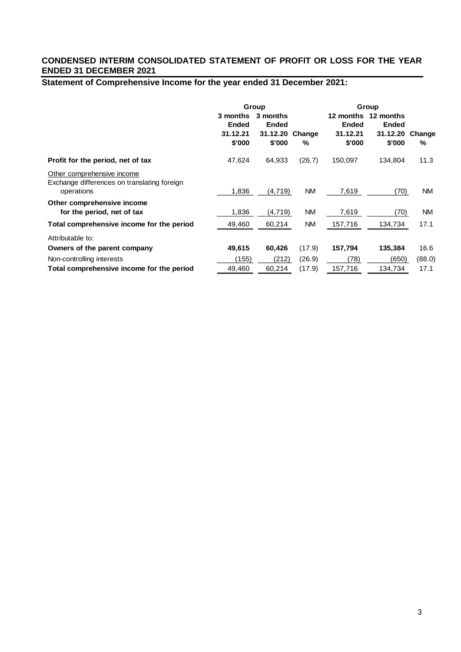# **CONDENSED INTERIM CONSOLIDATED STATEMENT OF PROFIT OR LOSS FOR THE YEAR ENDED 31 DECEMBER 2021**

# **Statement of Comprehensive Income for the year ended 31 December 2021:**

|                                                                                         | Group                                          |                                                |             | Group                                           |                                                 |             |
|-----------------------------------------------------------------------------------------|------------------------------------------------|------------------------------------------------|-------------|-------------------------------------------------|-------------------------------------------------|-------------|
|                                                                                         | 3 months<br><b>Ended</b><br>31.12.21<br>\$'000 | 3 months<br><b>Ended</b><br>31.12.20<br>\$'000 | Change<br>% | 12 months<br><b>Ended</b><br>31.12.21<br>\$'000 | 12 months<br><b>Ended</b><br>31.12.20<br>\$'000 | Change<br>% |
| Profit for the period, net of tax                                                       | 47,624                                         | 64,933                                         | (26.7)      | 150,097                                         | 134,804                                         | 11.3        |
| Other comprehensive income<br>Exchange differences on translating foreign<br>operations | 1,836                                          | (4,719)                                        | <b>NM</b>   | 7,619                                           | (70)                                            | <b>NM</b>   |
| Other comprehensive income<br>for the period, net of tax                                | 1,836                                          | (4,719)                                        | <b>NM</b>   | 7,619                                           | (70)                                            | <b>NM</b>   |
| Total comprehensive income for the period                                               | 49,460                                         | 60,214                                         | <b>NM</b>   | 157,716                                         | 134,734                                         | 17.1        |
| Attributable to:                                                                        |                                                |                                                |             |                                                 |                                                 |             |
| Owners of the parent company                                                            | 49,615                                         | 60,426                                         | (17.9)      | 157,794                                         | 135,384                                         | 16.6        |
| Non-controlling interests                                                               | (155)                                          | (212)                                          | (26.9)      | (78)                                            | (650)                                           | (88.0)      |
| Total comprehensive income for the period                                               | 49,460                                         | 60,214                                         | (17.9)      | 157,716                                         | 134,734                                         | 17.1        |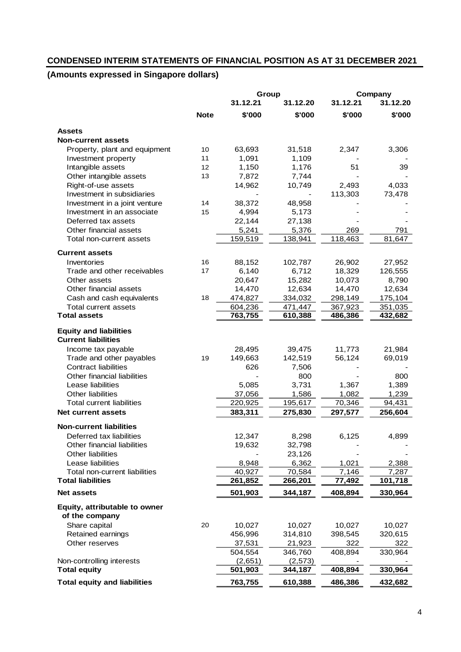# **CONDENSED INTERIM STATEMENTS OF FINANCIAL POSITION AS AT 31 DECEMBER 2021**

|                                     |             | Group    |          |          | Company  |
|-------------------------------------|-------------|----------|----------|----------|----------|
|                                     |             | 31.12.21 | 31.12.20 | 31.12.21 | 31.12.20 |
|                                     | <b>Note</b> | \$'000   | \$'000   | \$'000   | \$'000   |
| <b>Assets</b>                       |             |          |          |          |          |
| <b>Non-current assets</b>           |             |          |          |          |          |
| Property, plant and equipment       | 10          | 63,693   | 31,518   | 2,347    | 3,306    |
| Investment property                 | 11          | 1,091    | 1,109    |          |          |
| Intangible assets                   | 12          | 1,150    | 1,176    | 51       | 39       |
| Other intangible assets             | 13          | 7,872    | 7,744    |          |          |
| Right-of-use assets                 |             | 14,962   | 10,749   | 2,493    | 4,033    |
| Investment in subsidiaries          |             |          |          | 113,303  | 73,478   |
| Investment in a joint venture       | 14          | 38,372   | 48,958   |          |          |
| Investment in an associate          | 15          | 4,994    | 5,173    |          |          |
| Deferred tax assets                 |             | 22,144   | 27,138   |          |          |
| Other financial assets              |             | 5,241    | 5,376    | 269      | 791      |
| Total non-current assets            |             | 159,519  | 138,941  | 118,463  | 81,647   |
| <b>Current assets</b>               |             |          |          |          |          |
| Inventories                         | 16          | 88,152   | 102,787  | 26,902   | 27,952   |
| Trade and other receivables         | 17          | 6,140    | 6,712    | 18,329   | 126,555  |
| Other assets                        |             | 20,647   | 15,282   | 10,073   | 8,790    |
| Other financial assets              |             | 14,470   | 12,634   | 14,470   | 12,634   |
| Cash and cash equivalents           | 18          | 474,827  | 334,032  | 298,149  | 175,104  |
| Total current assets                |             | 604,236  | 471,447  | 367,923  | 351,035  |
| <b>Total assets</b>                 |             | 763,755  | 610,388  | 486,386  | 432,682  |
| <b>Equity and liabilities</b>       |             |          |          |          |          |
| <b>Current liabilities</b>          |             |          |          |          |          |
| Income tax payable                  |             | 28,495   | 39,475   | 11,773   | 21,984   |
| Trade and other payables            | 19          | 149,663  | 142,519  | 56,124   | 69,019   |
| <b>Contract liabilities</b>         |             | 626      | 7,506    |          |          |
| Other financial liabilities         |             |          | 800      |          | 800      |
| Lease liabilities                   |             | 5,085    | 3,731    | 1,367    | 1,389    |
| Other liabilities                   |             | 37,056   | 1,586    | 1,082    | 1,239    |
| <b>Total current liabilities</b>    |             | 220,925  | 195,617  | 70,346   | 94,431   |
| <b>Net current assets</b>           |             | 383,311  | 275,830  | 297,577  | 256,604  |
| <b>Non-current liabilities</b>      |             |          |          |          |          |
| Deferred tax liabilities            |             | 12,347   | 8,298    | 6,125    | 4,899    |
| Other financial liabilities         |             | 19,632   | 32,798   |          |          |
| Other liabilities                   |             |          | 23,126   |          |          |
| Lease liabilities                   |             | 8,948    | 6,362    | 1,021    | 2,388    |
| Total non-current liabilities       |             | 40,927   | 70,584   | 7,146    | 7,287    |
| <b>Total liabilities</b>            |             | 261,852  | 266,201  | 77,492   | 101,718  |
| <b>Net assets</b>                   |             | 501,903  | 344,187  | 408,894  | 330,964  |
| Equity, attributable to owner       |             |          |          |          |          |
| of the company                      |             |          |          |          |          |
| Share capital                       | 20          | 10,027   | 10,027   | 10,027   | 10,027   |
| Retained earnings                   |             | 456,996  | 314,810  | 398,545  | 320,615  |
| Other reserves                      |             | 37,531   | 21,923   | 322      | 322      |
|                                     |             | 504,554  | 346,760  | 408,894  | 330,964  |
| Non-controlling interests           |             | (2,651)  | (2, 573) |          |          |
| <b>Total equity</b>                 |             | 501,903  | 344,187  | 408,894  | 330,964  |
| <b>Total equity and liabilities</b> |             | 763,755  | 610,388  | 486,386  | 432,682  |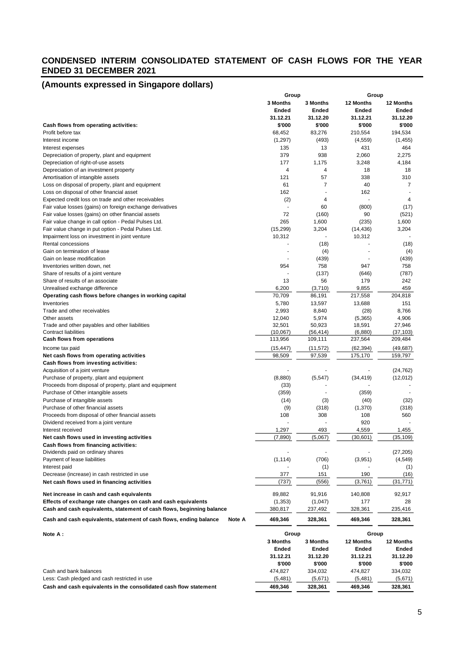### **CONDENSED INTERIM CONSOLIDATED STATEMENT OF CASH FLOWS FOR THE YEAR ENDED 31 DECEMBER 2021**

|                                                                                                             | Group           |                 | Group       |              |
|-------------------------------------------------------------------------------------------------------------|-----------------|-----------------|-------------|--------------|
|                                                                                                             | <b>3 Months</b> | <b>3 Months</b> | 12 Months   | 12 Months    |
|                                                                                                             | Ended           | Ended           | Ended       | Ended        |
|                                                                                                             | 31.12.21        | 31.12.20        | 31.12.21    | 31.12.20     |
| Cash flows from operating activities:                                                                       | \$'000          | \$'000          | \$'000      | \$'000       |
| Profit before tax                                                                                           | 68,452          | 83,276          | 210,554     | 194,534      |
| Interest income                                                                                             | (1,297)         | (493)           | (4, 559)    | (1, 455)     |
| Interest expenses                                                                                           | 135             | 13              | 431         | 464          |
| Depreciation of property, plant and equipment                                                               | 379             | 938             | 2,060       | 2,275        |
| Depreciation of right-of-use assets                                                                         | 177             | 1,175           | 3,248       | 4,184        |
| Depreciation of an investment property                                                                      | 4               | 4               | 18          | 18           |
| Amortisation of intangible assets                                                                           | 121             | 57              | 338         | 310          |
| Loss on disposal of property, plant and equipment                                                           | 61              | 7               | 40          | 7            |
| Loss on disposal of other financial asset                                                                   | 162             |                 | 162         |              |
| Expected credit loss on trade and other receivables                                                         | (2)<br>٠        | 4<br>60         |             | 4<br>(17)    |
| Fair value losses (gains) on foreign exchange derivatives                                                   | 72              |                 | (800)<br>90 | (521)        |
| Fair value losses (gains) on other financial assets<br>Fair value change in call option - Pedal Pulses Ltd. | 265             | (160)<br>1,600  | (235)       | 1,600        |
| Fair value change in put option - Pedal Pulses Ltd.                                                         | (15, 299)       | 3,204           | (14, 436)   | 3,204        |
| Impairment loss on investment in joint venture                                                              | 10,312          |                 | 10,312      |              |
| Rental concessions                                                                                          |                 | (18)            |             | (18)         |
| Gain on termination of lease                                                                                |                 | (4)             |             | (4)          |
| Gain on lease modification                                                                                  |                 | (439)           |             | (439)        |
| Inventories written down, net                                                                               | 954             | 758             | 947         | 758          |
| Share of results of a joint venture                                                                         |                 | (137)           | (646)       | (787)        |
| Share of results of an associate                                                                            | 13              | 56              | 179         | 242          |
| Unrealised exchange difference                                                                              | 6,200           | (3,710)         | 9,855       | 459          |
| Operating cash flows before changes in working capital                                                      | 70,709          | 86,191          | 217,558     | 204,818      |
| Inventories                                                                                                 | 5,780           | 13,597          | 13,688      | 151          |
| Trade and other receivables                                                                                 | 2,993           | 8,840           | (28)        | 8,766        |
| Other assets                                                                                                | 12,040          | 5,974           | (5, 365)    | 4,906        |
| Trade and other payables and other liabilities                                                              | 32,501          | 50,923          | 18,591      | 27,946       |
| <b>Contract liabilities</b>                                                                                 | (10,067)        | (56, 414)       | (6,880)     | (37, 103)    |
| Cash flows from operations                                                                                  | 113,956         | 109,111         | 237,564     | 209,484      |
| Income tax paid                                                                                             | (15, 447)       | (11, 572)       | (62, 394)   | (49, 687)    |
| Net cash flows from operating activities                                                                    | 98,509          | 97,539          | 175,170     | 159,797      |
| <b>Cash flows from investing activities:</b>                                                                |                 |                 |             |              |
| Acquisition of a joint venture                                                                              |                 |                 |             | (24, 762)    |
| Purchase of property, plant and equipment                                                                   | (8,880)         | (5, 547)        | (34, 419)   | (12,012)     |
| Proceeds from disposal of property, plant and equipment                                                     | (33)            |                 |             |              |
| Purchase of Other intangible assets                                                                         | (359)           |                 | (359)       |              |
| Purchase of intangible assets                                                                               | (14)            | (3)             | (40)        | (32)         |
| Purchase of other financial assets                                                                          | (9)             | (318)<br>308    | (1,370)     | (318)<br>560 |
| Proceeds from disposal of other financial assets                                                            | 108             |                 | 108<br>920  |              |
| Dividend received from a joint venture<br>Interest received                                                 | 1,297           | 493             | 4,559       | 1,455        |
| Net cash flows used in investing activities                                                                 | (7, 890)        | (5,067)         | (30, 601)   | (35, 109)    |
| Cash flows from financing activities:                                                                       |                 |                 |             |              |
| Dividends paid on ordinary shares                                                                           |                 |                 |             | (27, 205)    |
| Payment of lease liabilities                                                                                | (1, 114)        | (706)           | (3,951)     | (4, 549)     |
| Interest paid                                                                                               |                 | (1)             |             | (1)          |
| Decrease (increase) in cash restricted in use                                                               | 377             | 151             | 190         | (16)         |
| Net cash flows used in financing activities                                                                 | (737)           | (556)           | (3,761)     | (31,771)     |
|                                                                                                             |                 |                 |             |              |
| Net increase in cash and cash equivalents                                                                   | 89,882          | 91,916          | 140,808     | 92,917       |
| Effects of exchange rate changes on cash and cash equivalents                                               | (1, 353)        | (1,047)         | 177         | 28           |
| Cash and cash equivalents, statement of cash flows, beginning balance                                       | 380,817         | 237,492         | 328,361     | 235,416      |
| Cash and cash equivalents, statement of cash flows, ending balance<br>Note A                                | 469,346         | 328,361         | 469,346     | 328,361      |
| Note A:                                                                                                     | Group           |                 | Group       |              |
|                                                                                                             | 3 Months        | 3 Months        | 12 Months   | 12 Months    |
|                                                                                                             | Ended           | Ended           | Ended       | Ended        |
|                                                                                                             | 31.12.21        | 31.12.20        | 31.12.21    | 31.12.20     |
|                                                                                                             | \$'000          | \$'000          | \$'000      | \$'000       |
| Cash and bank balances                                                                                      | 474,827         | 334,032         | 474,827     | 334,032      |
| Less: Cash pledged and cash restricted in use                                                               | (5,481)         | (5,671)         | (5,481)     | (5,671)      |
| Cash and cash equivalents in the consolidated cash flow statement                                           | 469,346         | 328,361         | 469,346     | 328,361      |
|                                                                                                             |                 |                 |             |              |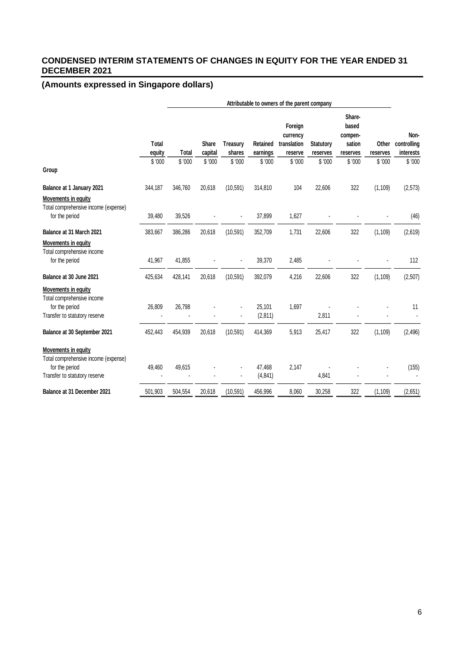# **CONDENSED INTERIM STATEMENTS OF CHANGES IN EQUITY FOR THE YEAR ENDED 31 DECEMBER 2021**

|                                                                                                                |                        | Attributable to owners of the parent company |                         |                           |                             |                                               |                              |                                                  |                   |                                  |
|----------------------------------------------------------------------------------------------------------------|------------------------|----------------------------------------------|-------------------------|---------------------------|-----------------------------|-----------------------------------------------|------------------------------|--------------------------------------------------|-------------------|----------------------------------|
|                                                                                                                | <b>Total</b><br>equity | Total                                        | <b>Share</b><br>capital | <b>Treasury</b><br>shares | <b>Retained</b><br>earnings | Foreign<br>currency<br>translation<br>reserve | <b>Statutory</b><br>reserves | Share-<br>based<br>compen-<br>sation<br>reserves | Other<br>reserves | Non-<br>controlling<br>interests |
| Group                                                                                                          | \$'000                 | \$'000                                       | \$'000                  | \$'000                    | \$'000                      | \$'000                                        | \$'000                       | \$'000                                           | \$'000            | \$'000                           |
| Balance at 1 January 2021                                                                                      | 344,187                | 346,760                                      | 20,618                  | (10, 591)                 | 314,810                     | 104                                           | 22,606                       | 322                                              | (1, 109)          | (2, 573)                         |
| <b>Movements in equity</b><br>Total comprehensive income (expense)<br>for the period                           | 39,480                 | 39,526                                       |                         |                           | 37,899                      | 1,627                                         |                              |                                                  |                   | (46)                             |
| Balance at 31 March 2021                                                                                       | 383,667                | 386,286                                      | 20,618                  | (10, 591)                 | 352,709                     | 1,731                                         | 22,606                       | 322                                              | (1, 109)          | (2,619)                          |
| Movements in equity<br>Total comprehensive income<br>for the period<br>Balance at 30 June 2021                 | 41,967<br>425,634      | 41,855<br>428,141                            | 20,618                  | (10, 591)                 | 39,370<br>392,079           | 2,485<br>4,216                                | 22,606                       | 322                                              | (1, 109)          | 112<br>(2,507)                   |
|                                                                                                                |                        |                                              |                         |                           |                             |                                               |                              |                                                  |                   |                                  |
| <b>Movements in equity</b><br>Total comprehensive income<br>for the period<br>Transfer to statutory reserve    | 26,809                 | 26,798                                       |                         |                           | 25,101<br>(2, 811)          | 1,697                                         | 2,811                        |                                                  |                   | 11                               |
| Balance at 30 September 2021                                                                                   | 452,443                | 454,939                                      | 20,618                  | (10, 591)                 | 414,369                     | 5,913                                         | 25,417                       | 322                                              | (1, 109)          | (2, 496)                         |
| Movements in equity<br>Total comprehensive income (expense)<br>for the period<br>Transfer to statutory reserve | 49,460                 | 49,615                                       |                         |                           | 47,468<br>(4, 841)          | 2,147                                         | 4,841                        |                                                  |                   | (155)                            |
| Balance at 31 December 2021                                                                                    | 501,903                | 504.554                                      | 20,618                  | (10, 591)                 | 456,996                     | 8,060                                         | 30,258                       | 322                                              | (1, 109)          | (2,651)                          |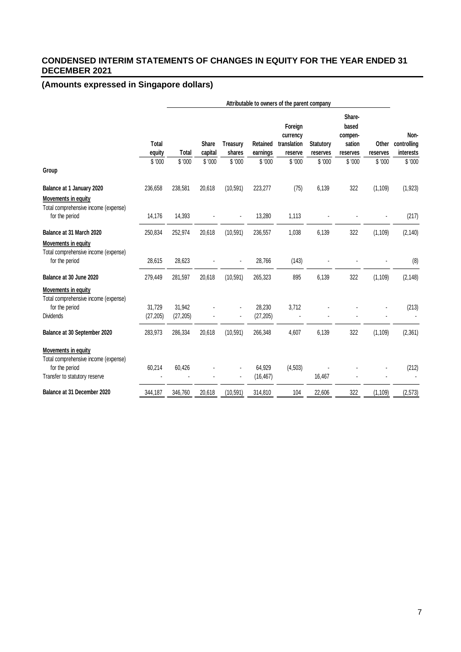# **CONDENSED INTERIM STATEMENTS OF CHANGES IN EQUITY FOR THE YEAR ENDED 31 DECEMBER 2021**

|                                                                                                                |                     | Attributable to owners of the parent company |                         |                           |                      |                                               |                              |                                                  |                   |                                  |
|----------------------------------------------------------------------------------------------------------------|---------------------|----------------------------------------------|-------------------------|---------------------------|----------------------|-----------------------------------------------|------------------------------|--------------------------------------------------|-------------------|----------------------------------|
|                                                                                                                | Total<br>equity     | <b>Total</b>                                 | <b>Share</b><br>capital | <b>Treasury</b><br>shares | Retained<br>earnings | Foreign<br>currency<br>translation<br>reserve | <b>Statutory</b><br>reserves | Share-<br>based<br>compen-<br>sation<br>reserves | Other<br>reserves | Non-<br>controlling<br>interests |
| Group                                                                                                          | \$'000              | \$ '000                                      | \$'000                  | \$'000                    | \$'000               | \$'000                                        | \$'000                       | \$'000                                           | \$ '000           | \$'000                           |
|                                                                                                                |                     |                                              |                         |                           |                      |                                               |                              |                                                  |                   |                                  |
| Balance at 1 January 2020                                                                                      | 236,658             | 238,581                                      | 20,618                  | (10, 591)                 | 223,277              | (75)                                          | 6,139                        | 322                                              | (1, 109)          | (1, 923)                         |
| Movements in equity<br>Total comprehensive income (expense)                                                    |                     |                                              |                         |                           |                      |                                               |                              |                                                  |                   |                                  |
| for the period                                                                                                 | 14,176              | 14,393                                       |                         |                           | 13,280               | 1,113                                         |                              |                                                  |                   | (217)                            |
| Balance at 31 March 2020                                                                                       | 250,834             | 252,974                                      | 20,618                  | (10, 591)                 | 236,557              | 1,038                                         | 6,139                        | 322                                              | (1, 109)          | (2, 140)                         |
| <b>Movements in equity</b><br>Total comprehensive income (expense)<br>for the period                           | 28,615              | 28,623                                       |                         |                           | 28,766               | (143)                                         |                              |                                                  |                   | (8)                              |
| Balance at 30 June 2020                                                                                        | 279,449             | 281,597                                      | 20,618                  | (10, 591)                 | 265,323              | 895                                           | 6,139                        | 322                                              | (1, 109)          | (2, 148)                         |
| Movements in equity<br>Total comprehensive income (expense)<br>for the period<br><b>Dividends</b>              | 31,729<br>(27, 205) | 31,942<br>(27, 205)                          |                         |                           | 28,230<br>(27, 205)  | 3,712                                         |                              |                                                  |                   | (213)                            |
| Balance at 30 September 2020                                                                                   | 283,973             | 286,334                                      | 20,618                  | (10, 591)                 | 266,348              | 4,607                                         | 6,139                        | 322                                              | (1, 109)          | (2, 361)                         |
| Movements in equity<br>Total comprehensive income (expense)<br>for the period<br>Transfer to statutory reserve | 60,214              | 60,426                                       |                         |                           | 64,929<br>(16, 467)  | (4, 503)                                      | 16,467                       |                                                  |                   | (212)                            |
| Balance at 31 December 2020                                                                                    | 344.187             | 346.760                                      | 20.618                  | (10, 591)                 | 314,810              | 104                                           | 22.606                       | 322                                              | (1, 109)          | (2, 573)                         |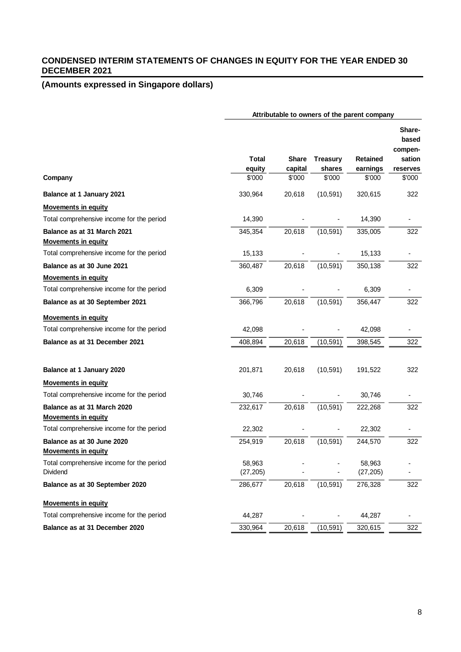# **CONDENSED INTERIM STATEMENTS OF CHANGES IN EQUITY FOR THE YEAR ENDED 30 DECEMBER 2021**

|                                                           | Attributable to owners of the parent company |                                   |                                     |                                       |                                                            |  |
|-----------------------------------------------------------|----------------------------------------------|-----------------------------------|-------------------------------------|---------------------------------------|------------------------------------------------------------|--|
| Company                                                   | <b>Total</b><br>equity<br>\$'000             | <b>Share</b><br>capital<br>\$'000 | <b>Treasury</b><br>shares<br>\$'000 | <b>Retained</b><br>earnings<br>\$'000 | Share-<br>based<br>compen-<br>sation<br>reserves<br>\$'000 |  |
| Balance at 1 January 2021                                 | 330,964                                      | 20,618                            | (10, 591)                           | 320,615                               | 322                                                        |  |
| <b>Movements in equity</b>                                |                                              |                                   |                                     |                                       |                                                            |  |
| Total comprehensive income for the period                 | 14,390                                       |                                   |                                     | 14,390                                |                                                            |  |
| Balance as at 31 March 2021<br><b>Movements in equity</b> | 345,354                                      | 20,618                            | (10, 591)                           | 335,005                               | 322                                                        |  |
| Total comprehensive income for the period                 | 15,133                                       |                                   |                                     | 15,133                                |                                                            |  |
| Balance as at 30 June 2021                                | 360,487                                      | 20,618                            | (10, 591)                           | 350,138                               | 322                                                        |  |
| <b>Movements in equity</b>                                |                                              |                                   |                                     |                                       |                                                            |  |
| Total comprehensive income for the period                 | 6,309                                        |                                   |                                     | 6,309                                 |                                                            |  |
| Balance as at 30 September 2021                           | 366,796                                      | 20,618                            | (10, 591)                           | 356,447                               | 322                                                        |  |
| <b>Movements in equity</b>                                |                                              |                                   |                                     |                                       |                                                            |  |
| Total comprehensive income for the period                 | 42,098                                       |                                   |                                     | 42,098                                |                                                            |  |
| Balance as at 31 December 2021                            | 408,894                                      | 20,618                            | (10,591)                            | 398,545                               | 322                                                        |  |
| Balance at 1 January 2020                                 | 201,871                                      | 20,618                            | (10, 591)                           | 191,522                               | 322                                                        |  |
| <b>Movements in equity</b>                                |                                              |                                   |                                     |                                       |                                                            |  |
| Total comprehensive income for the period                 | 30,746                                       |                                   |                                     | 30,746                                |                                                            |  |
| Balance as at 31 March 2020<br><b>Movements in equity</b> | 232,617                                      | 20,618                            | (10, 591)                           | 222,268                               | 322                                                        |  |
| Total comprehensive income for the period                 | 22,302                                       |                                   |                                     | 22,302                                |                                                            |  |
| Balance as at 30 June 2020<br><b>Movements in equity</b>  | 254,919                                      | 20,618                            | (10, 591)                           | 244,570                               | 322                                                        |  |
| Total comprehensive income for the period<br>Dividend     | 58,963<br>(27, 205)                          |                                   |                                     | 58,963<br>(27, 205)                   |                                                            |  |
| Balance as at 30 September 2020                           | 286,677                                      | 20,618                            | (10, 591)                           | 276,328                               | 322                                                        |  |
| <b>Movements in equity</b>                                |                                              |                                   |                                     |                                       |                                                            |  |
| Total comprehensive income for the period                 | 44,287                                       |                                   |                                     | 44,287                                |                                                            |  |
| Balance as at 31 December 2020                            | 330,964                                      | 20,618                            | (10,591)                            | 320,615                               | 322                                                        |  |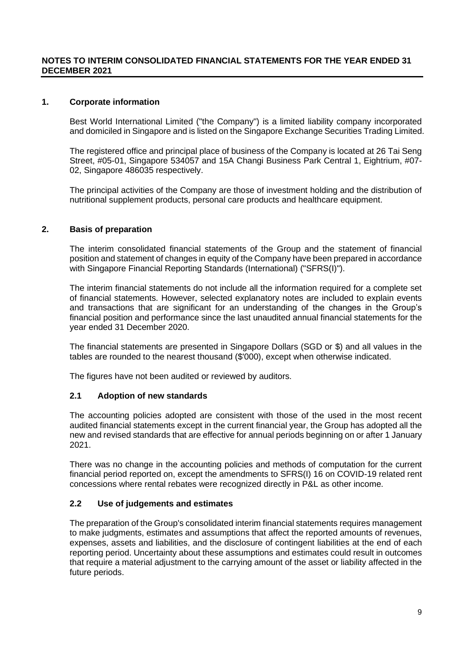#### **NOTES TO INTERIM CONSOLIDATED FINANCIAL STATEMENTS FOR THE YEAR ENDED 31 DECEMBER 2021**

#### **1. Corporate information**

Best World International Limited ("the Company") is a limited liability company incorporated and domiciled in Singapore and is listed on the Singapore Exchange Securities Trading Limited.

The registered office and principal place of business of the Company is located at 26 Tai Seng Street, #05-01, Singapore 534057 and 15A Changi Business Park Central 1, Eightrium, #07- 02, Singapore 486035 respectively.

The principal activities of the Company are those of investment holding and the distribution of nutritional supplement products, personal care products and healthcare equipment.

#### **2. Basis of preparation**

The interim consolidated financial statements of the Group and the statement of financial position and statement of changes in equity of the Company have been prepared in accordance with Singapore Financial Reporting Standards (International) ("SFRS(I)").

The interim financial statements do not include all the information required for a complete set of financial statements. However, selected explanatory notes are included to explain events and transactions that are significant for an understanding of the changes in the Group's financial position and performance since the last unaudited annual financial statements for the year ended 31 December 2020.

The financial statements are presented in Singapore Dollars (SGD or \$) and all values in the tables are rounded to the nearest thousand (\$'000), except when otherwise indicated.

The figures have not been audited or reviewed by auditors.

#### **2.1 Adoption of new standards**

The accounting policies adopted are consistent with those of the used in the most recent audited financial statements except in the current financial year, the Group has adopted all the new and revised standards that are effective for annual periods beginning on or after 1 January 2021.

There was no change in the accounting policies and methods of computation for the current financial period reported on, except the amendments to SFRS(I) 16 on COVID-19 related rent concessions where rental rebates were recognized directly in P&L as other income.

#### **2.2 Use of judgements and estimates**

The preparation of the Group's consolidated interim financial statements requires management to make judgments, estimates and assumptions that affect the reported amounts of revenues, expenses, assets and liabilities, and the disclosure of contingent liabilities at the end of each reporting period. Uncertainty about these assumptions and estimates could result in outcomes that require a material adjustment to the carrying amount of the asset or liability affected in the future periods.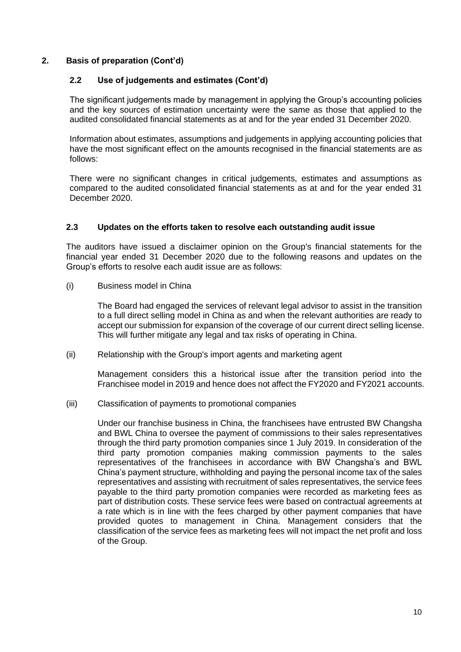### **2. Basis of preparation (Cont'd)**

### **2.2 Use of judgements and estimates (Cont'd)**

The significant judgements made by management in applying the Group's accounting policies and the key sources of estimation uncertainty were the same as those that applied to the audited consolidated financial statements as at and for the year ended 31 December 2020.

Information about estimates, assumptions and judgements in applying accounting policies that have the most significant effect on the amounts recognised in the financial statements are as follows:

There were no significant changes in critical judgements, estimates and assumptions as compared to the audited consolidated financial statements as at and for the year ended 31 December 2020.

### **2.3 Updates on the efforts taken to resolve each outstanding audit issue**

The auditors have issued a disclaimer opinion on the Group's financial statements for the financial year ended 31 December 2020 due to the following reasons and updates on the Group's efforts to resolve each audit issue are as follows:

(i) Business model in China

The Board had engaged the services of relevant legal advisor to assist in the transition to a full direct selling model in China as and when the relevant authorities are ready to accept our submission for expansion of the coverage of our current direct selling license. This will further mitigate any legal and tax risks of operating in China.

(ii) Relationship with the Group's import agents and marketing agent

Management considers this a historical issue after the transition period into the Franchisee model in 2019 and hence does not affect the FY2020 and FY2021 accounts.

(iii) Classification of payments to promotional companies

Under our franchise business in China, the franchisees have entrusted BW Changsha and BWL China to oversee the payment of commissions to their sales representatives through the third party promotion companies since 1 July 2019. In consideration of the third party promotion companies making commission payments to the sales representatives of the franchisees in accordance with BW Changsha's and BWL China's payment structure, withholding and paying the personal income tax of the sales representatives and assisting with recruitment of sales representatives, the service fees payable to the third party promotion companies were recorded as marketing fees as part of distribution costs. These service fees were based on contractual agreements at a rate which is in line with the fees charged by other payment companies that have provided quotes to management in China. Management considers that the classification of the service fees as marketing fees will not impact the net profit and loss of the Group.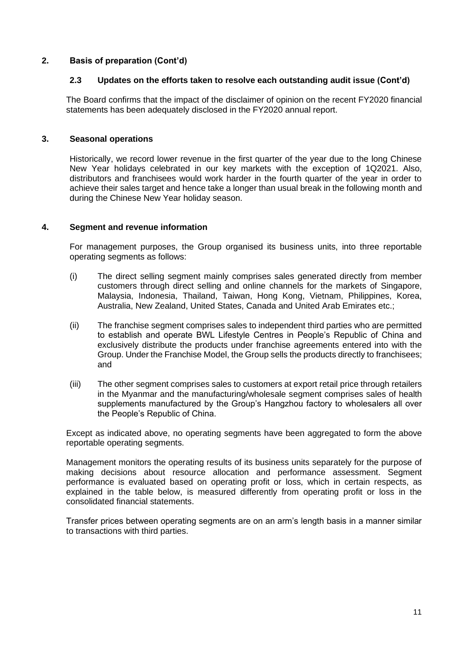### **2. Basis of preparation (Cont'd)**

### **2.3 Updates on the efforts taken to resolve each outstanding audit issue (Cont'd)**

The Board confirms that the impact of the disclaimer of opinion on the recent FY2020 financial statements has been adequately disclosed in the FY2020 annual report.

#### **3. Seasonal operations**

Historically, we record lower revenue in the first quarter of the year due to the long Chinese New Year holidays celebrated in our key markets with the exception of 1Q2021. Also, distributors and franchisees would work harder in the fourth quarter of the year in order to achieve their sales target and hence take a longer than usual break in the following month and during the Chinese New Year holiday season.

#### **4. Segment and revenue information**

For management purposes, the Group organised its business units, into three reportable operating segments as follows:

- (i) The direct selling segment mainly comprises sales generated directly from member customers through direct selling and online channels for the markets of Singapore, Malaysia, Indonesia, Thailand, Taiwan, Hong Kong, Vietnam, Philippines, Korea, Australia, New Zealand, United States, Canada and United Arab Emirates etc.;
- (ii) The franchise segment comprises sales to independent third parties who are permitted to establish and operate BWL Lifestyle Centres in People's Republic of China and exclusively distribute the products under franchise agreements entered into with the Group. Under the Franchise Model, the Group sells the products directly to franchisees; and
- (iii) The other segment comprises sales to customers at export retail price through retailers in the Myanmar and the manufacturing/wholesale segment comprises sales of health supplements manufactured by the Group's Hangzhou factory to wholesalers all over the People's Republic of China.

Except as indicated above, no operating segments have been aggregated to form the above reportable operating segments.

Management monitors the operating results of its business units separately for the purpose of making decisions about resource allocation and performance assessment. Segment performance is evaluated based on operating profit or loss, which in certain respects, as explained in the table below, is measured differently from operating profit or loss in the consolidated financial statements.

Transfer prices between operating segments are on an arm's length basis in a manner similar to transactions with third parties.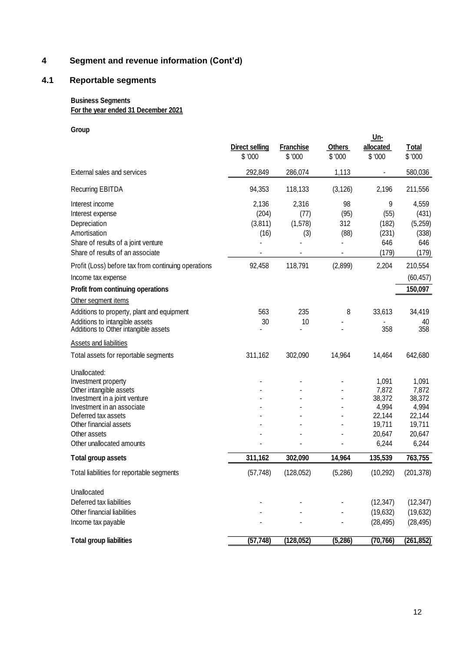# **4 Segment and revenue information (Cont'd)**

# **4.1 Reportable segments**

### **Business Segments For the year ended 31 December 2021**

#### **Group**

|                                                                                                                                                                                                                             | <b>Direct selling</b><br>\$'000   | <b>Franchise</b><br>\$ '000     | <b>Others</b><br>\$ '000  | <u> Un-</u><br>allocated<br>\$ '000                                      | <b>Total</b><br>\$ '000                                                  |
|-----------------------------------------------------------------------------------------------------------------------------------------------------------------------------------------------------------------------------|-----------------------------------|---------------------------------|---------------------------|--------------------------------------------------------------------------|--------------------------------------------------------------------------|
| External sales and services                                                                                                                                                                                                 | 292,849                           | 286,074                         | 1,113                     |                                                                          | 580,036                                                                  |
| <b>Recurring EBITDA</b>                                                                                                                                                                                                     | 94,353                            | 118,133                         | (3, 126)                  | 2,196                                                                    | 211,556                                                                  |
| Interest income<br>Interest expense<br>Depreciation<br>Amortisation<br>Share of results of a joint venture<br>Share of results of an associate                                                                              | 2,136<br>(204)<br>(3,811)<br>(16) | 2,316<br>(77)<br>(1,578)<br>(3) | 98<br>(95)<br>312<br>(88) | 9<br>(55)<br>(182)<br>(231)<br>646<br>(179)                              | 4,559<br>(431)<br>(5,259)<br>(338)<br>646<br>(179)                       |
| Profit (Loss) before tax from continuing operations                                                                                                                                                                         | 92,458                            | 118,791                         | (2,899)                   | 2,204                                                                    | 210,554                                                                  |
| Income tax expense                                                                                                                                                                                                          |                                   |                                 |                           |                                                                          | (60, 457)                                                                |
| Profit from continuing operations                                                                                                                                                                                           |                                   |                                 |                           |                                                                          | 150,097                                                                  |
| Other segment items                                                                                                                                                                                                         |                                   |                                 |                           |                                                                          |                                                                          |
| Additions to property, plant and equipment                                                                                                                                                                                  | 563                               | 235                             | 8                         | 33,613                                                                   | 34,419                                                                   |
| Additions to intangible assets<br>Additions to Other intangible assets                                                                                                                                                      | 30                                | 10                              |                           | 358                                                                      | 40<br>358                                                                |
| <b>Assets and liabilities</b>                                                                                                                                                                                               |                                   |                                 |                           |                                                                          |                                                                          |
| Total assets for reportable segments                                                                                                                                                                                        | 311,162                           | 302,090                         | 14,964                    | 14,464                                                                   | 642,680                                                                  |
| Unallocated:<br>Investment property<br>Other intangible assets<br>Investment in a joint venture<br>Investment in an associate<br>Deferred tax assets<br>Other financial assets<br>Other assets<br>Other unallocated amounts |                                   |                                 |                           | 1,091<br>7,872<br>38,372<br>4,994<br>22,144<br>19,711<br>20,647<br>6,244 | 1,091<br>7,872<br>38,372<br>4,994<br>22,144<br>19,711<br>20,647<br>6,244 |
| <b>Total group assets</b>                                                                                                                                                                                                   | 311,162                           | 302,090                         | 14,964                    | 135,539                                                                  | 763,755                                                                  |
| Total liabilities for reportable segments                                                                                                                                                                                   | (57, 748)                         | (128, 052)                      | (5,286)                   | (10, 292)                                                                | (201, 378)                                                               |
| Unallocated<br>Deferred tax liabilities<br>Other financial liabilities<br>Income tax payable                                                                                                                                |                                   |                                 |                           | (12, 347)<br>(19, 632)<br>(28, 495)                                      | (12, 347)<br>(19, 632)<br>(28, 495)                                      |
| <b>Total group liabilities</b>                                                                                                                                                                                              | (57, 748)                         | (128, 052)                      | (5,286)                   | (70, 766)                                                                | (261, 852)                                                               |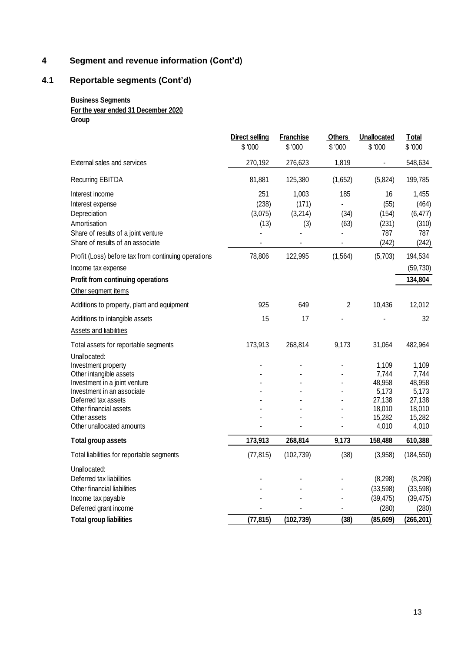# **4 Segment and revenue information (Cont'd)**

# **4.1 Reportable segments (Cont'd)**

### **Business Segments For the year ended 31 December 2020 Group**

|                                                                                                                                                                                                                                                                  | <b>Direct selling</b><br>\$'000           | <b>Franchise</b><br>\$ '000                 | <b>Others</b><br>\$'000         | Unallocated<br>\$ '000                                  | <b>Total</b><br>\$'000                                                                 |
|------------------------------------------------------------------------------------------------------------------------------------------------------------------------------------------------------------------------------------------------------------------|-------------------------------------------|---------------------------------------------|---------------------------------|---------------------------------------------------------|----------------------------------------------------------------------------------------|
| External sales and services                                                                                                                                                                                                                                      | 270,192                                   | 276,623                                     | 1,819                           | $\qquad \qquad \blacksquare$                            | 548,634                                                                                |
| <b>Recurring EBITDA</b>                                                                                                                                                                                                                                          | 81,881                                    | 125,380                                     | (1,652)                         | (5,824)                                                 | 199,785                                                                                |
| Interest income<br>Interest expense<br>Depreciation<br>Amortisation<br>Share of results of a joint venture<br>Share of results of an associate<br>Profit (Loss) before tax from continuing operations<br>Income tax expense<br>Profit from continuing operations | 251<br>(238)<br>(3,075)<br>(13)<br>78,806 | 1,003<br>(171)<br>(3,214)<br>(3)<br>122,995 | 185<br>(34)<br>(63)<br>(1, 564) | 16<br>(55)<br>(154)<br>(231)<br>787<br>(242)<br>(5,703) | 1,455<br>(464)<br>(6, 477)<br>(310)<br>787<br>(242)<br>194,534<br>(59, 730)<br>134,804 |
| Other segment items                                                                                                                                                                                                                                              |                                           |                                             |                                 |                                                         |                                                                                        |
| Additions to property, plant and equipment                                                                                                                                                                                                                       | 925                                       | 649                                         | $\overline{c}$                  | 10,436                                                  | 12,012                                                                                 |
| Additions to intangible assets<br><b>Assets and liabilities</b>                                                                                                                                                                                                  | 15                                        | 17                                          |                                 |                                                         | 32                                                                                     |
| Total assets for reportable segments<br>Unallocated:<br>Investment property<br>Other intangible assets<br>Investment in a joint venture<br>Investment in an associate<br>Deferred tax assets                                                                     | 173,913                                   | 268,814                                     | 9,173                           | 31,064<br>1,109<br>7,744<br>48,958<br>5,173<br>27,138   | 482,964<br>1,109<br>7,744<br>48,958<br>5,173<br>27,138                                 |
| Other financial assets<br>Other assets<br>Other unallocated amounts                                                                                                                                                                                              |                                           |                                             |                                 | 18,010<br>15,282<br>4,010                               | 18,010<br>15,282<br>4,010                                                              |
| Total group assets                                                                                                                                                                                                                                               | 173,913                                   | 268,814                                     | 9,173                           | 158,488                                                 | 610,388                                                                                |
| Total liabilities for reportable segments                                                                                                                                                                                                                        | (77, 815)                                 | (102, 739)                                  | (38)                            | (3,958)                                                 | (184, 550)                                                                             |
| Unallocated:<br>Deferred tax liabilities<br>Other financial liabilities<br>Income tax payable<br>Deferred grant income                                                                                                                                           |                                           |                                             |                                 | (8, 298)<br>(33, 598)<br>(39, 475)<br>(280)             | (8, 298)<br>(33, 598)<br>(39, 475)<br>(280)                                            |
| <b>Total group liabilities</b>                                                                                                                                                                                                                                   | (77, 815)                                 | (102, 739)                                  | (38)                            | (85, 609)                                               | (266, 201)                                                                             |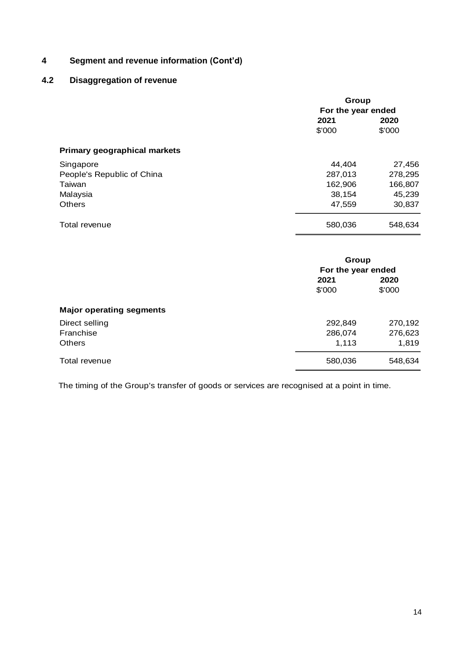# **4 Segment and revenue information (Cont'd)**

# **4.2 Disaggregation of revenue**

|                                     | Group              |         |  |  |
|-------------------------------------|--------------------|---------|--|--|
|                                     | For the year ended |         |  |  |
|                                     | 2021               |         |  |  |
|                                     | \$'000             | \$'000  |  |  |
| <b>Primary geographical markets</b> |                    |         |  |  |
| Singapore                           | 44,404             | 27,456  |  |  |
| People's Republic of China          | 287,013            | 278,295 |  |  |
| Taiwan                              | 162,906            | 166,807 |  |  |
| Malaysia                            | 38,154             | 45,239  |  |  |
| Others                              | 47,559             | 30,837  |  |  |
| Total revenue                       | 580,036            | 548,634 |  |  |

|                                 | Group<br>For the year ended |                |
|---------------------------------|-----------------------------|----------------|
|                                 | 2021<br>\$'000              | 2020<br>\$'000 |
| <b>Major operating segments</b> |                             |                |
| Direct selling                  | 292,849                     | 270,192        |
| Franchise                       | 286,074                     | 276,623        |
| <b>Others</b>                   | 1,113                       | 1,819          |
| Total revenue                   | 580,036                     | 548,634        |

The timing of the Group's transfer of goods or services are recognised at a point in time.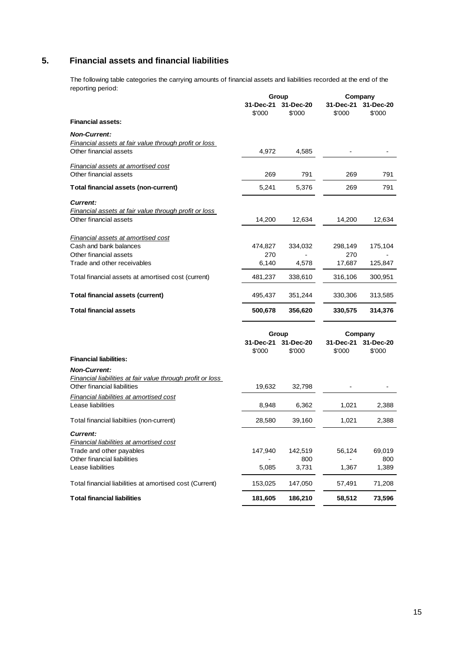# **5. Financial assets and financial liabilities**

The following table categories the carrying amounts of financial assets and liabilities recorded at the end of the reporting period:

|                                                              | Group               |                     | Company                        |                     |
|--------------------------------------------------------------|---------------------|---------------------|--------------------------------|---------------------|
|                                                              | 31-Dec-21<br>\$'000 | 31-Dec-20<br>\$'000 | 31-Dec-21<br>\$'000            | 31-Dec-20<br>\$'000 |
| <b>Financial assets:</b>                                     |                     |                     |                                |                     |
| <b>Non-Current:</b>                                          |                     |                     |                                |                     |
| Financial assets at fair value through profit or loss        |                     |                     |                                |                     |
| Other financial assets                                       | 4,972               | 4,585               |                                |                     |
| <b>Financial assets at amortised cost</b>                    |                     |                     |                                |                     |
| Other financial assets                                       | 269                 | 791                 | 269                            | 791                 |
| Total financial assets (non-current)                         | 5,241               | 5,376               | 269                            | 791                 |
| <b>Current:</b>                                              |                     |                     |                                |                     |
| <b>Financial assets at fair value through profit or loss</b> |                     |                     |                                |                     |
| Other financial assets                                       | 14,200              | 12,634              | 14,200                         | 12,634              |
| <b>Financial assets at amortised cost</b>                    |                     |                     |                                |                     |
| Cash and bank balances                                       | 474,827             | 334,032             | 298,149                        | 175,104             |
| Other financial assets                                       | 270                 |                     | 270                            |                     |
| Trade and other receivables                                  | 6,140               | 4,578               | 17,687                         | 125,847             |
| Total financial assets at amortised cost (current)           | 481,237             | 338,610             | 316,106                        | 300,951             |
| <b>Total financial assets (current)</b>                      | 495,437             | 351,244             | 330,306                        | 313,585             |
| <b>Total financial assets</b>                                | 500,678             | 356,620             | 330,575                        | 314,376             |
|                                                              |                     |                     |                                |                     |
|                                                              | Group<br>31-Dec-21  | 31-Dec-20           | Company<br>31-Dec-21 31-Dec-20 |                     |
|                                                              | \$'000              | \$'000              | \$'000                         | \$'000              |
| <b>Financial liabilities:</b>                                |                     |                     |                                |                     |
| <b>Non-Current:</b>                                          |                     |                     |                                |                     |
| Financial liabilities at fair value through profit or loss   |                     |                     |                                |                     |
| Other financial liabilities                                  | 19,632              | 32,798              |                                |                     |
| <b>Financial liabilities at amortised cost</b>               |                     |                     |                                |                     |
| Lease liabilities                                            | 8,948               | 6,362               | 1,021                          | 2,388               |
| Total financial liabiltiies (non-current)                    | 28,580              | 39,160              | 1,021                          | 2,388               |
| <b>Current:</b>                                              |                     |                     |                                |                     |
| <b>Financial liabilities at amortised cost</b>               |                     |                     |                                |                     |
| Trade and other payables                                     | 147,940             | 142,519             | 56,124                         | 69,019              |
| Other financial liabilities                                  |                     | 800                 |                                | 800                 |
| Lease liabilities                                            | 5,085               | 3,731               | 1,367                          | 1,389               |
| Total financial liabilities at amortised cost (Current)      | 153,025             | 147,050             | 57,491                         | 71,208              |
| <b>Total financial liabilities</b>                           | 181,605             | 186,210             | 58,512                         | 73,596              |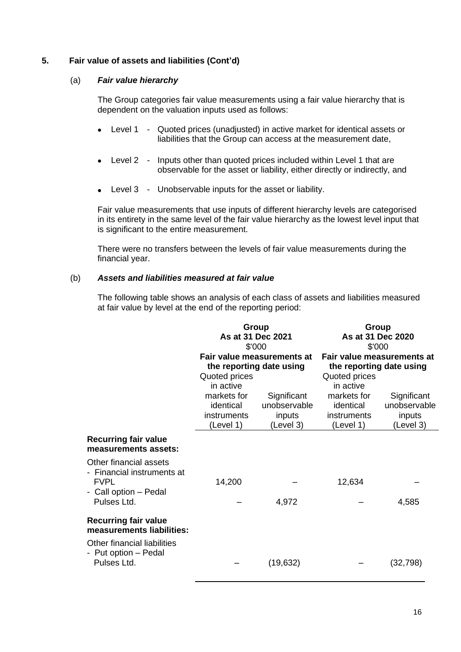### **5. Fair value of assets and liabilities (Cont'd)**

#### (a) *Fair value hierarchy*

The Group categories fair value measurements using a fair value hierarchy that is dependent on the valuation inputs used as follows:

- Level 1 Quoted prices (unadjusted) in active market for identical assets or liabilities that the Group can access at the measurement date,
- Level 2 Inputs other than quoted prices included within Level 1 that are observable for the asset or liability, either directly or indirectly, and
- Level 3 Unobservable inputs for the asset or liability.

Fair value measurements that use inputs of different hierarchy levels are categorised in its entirety in the same level of the fair value hierarchy as the lowest level input that is significant to the entire measurement.

There were no transfers between the levels of fair value measurements during the financial year.

#### (b) *Assets and liabilities measured at fair value*

The following table shows an analysis of each class of assets and liabilities measured at fair value by level at the end of the reporting period:

|                                                                                                                 | Group<br>As at 31 Dec 2021<br>\$'000                   |                                                    | Group<br>As at 31 Dec 2020<br>\$'000                                                 |                                                    |
|-----------------------------------------------------------------------------------------------------------------|--------------------------------------------------------|----------------------------------------------------|--------------------------------------------------------------------------------------|----------------------------------------------------|
|                                                                                                                 | the reporting date using<br>Quoted prices<br>in active | Fair value measurements at                         | Fair value measurements at<br>the reporting date using<br>Quoted prices<br>in active |                                                    |
|                                                                                                                 | markets for<br>identical<br>instruments<br>(Level 1)   | Significant<br>unobservable<br>inputs<br>(Level 3) | markets for<br>identical<br>instruments<br>(Level 1)                                 | Significant<br>unobservable<br>inputs<br>(Level 3) |
| <b>Recurring fair value</b><br>measurements assets:                                                             |                                                        |                                                    |                                                                                      |                                                    |
| Other financial assets<br>- Financial instruments at<br><b>FVPL</b><br>- Call option - Pedal<br>Pulses Ltd.     | 14,200                                                 | 4,972                                              | 12,634                                                                               | 4,585                                              |
| <b>Recurring fair value</b><br>measurements liabilities:<br>Other financial liabilities<br>- Put option – Pedal |                                                        |                                                    |                                                                                      |                                                    |
| Pulses Ltd.                                                                                                     |                                                        | (19, 632)                                          |                                                                                      | (32, 798)                                          |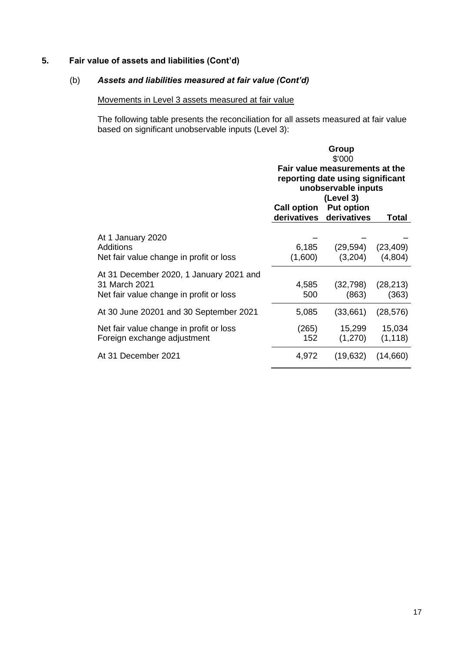# **5. Fair value of assets and liabilities (Cont'd)**

# (b) *Assets and liabilities measured at fair value (Cont'd)*

# Movements in Level 3 assets measured at fair value

The following table presents the reconciliation for all assets measured at fair value based on significant unobservable inputs (Level 3):

|                                                                                                     | Group<br>\$'000                                                                                        |                                              |                      |
|-----------------------------------------------------------------------------------------------------|--------------------------------------------------------------------------------------------------------|----------------------------------------------|----------------------|
|                                                                                                     | Fair value measurements at the<br>reporting date using significant<br>unobservable inputs<br>(Level 3) |                                              |                      |
|                                                                                                     | <b>Call option</b>                                                                                     | <b>Put option</b><br>derivatives derivatives | Total                |
| At 1 January 2020<br>Additions<br>Net fair value change in profit or loss                           | 6,185<br>(1,600)                                                                                       | (29, 594)<br>(3,204)                         | (23, 409)<br>(4,804) |
| At 31 December 2020, 1 January 2021 and<br>31 March 2021<br>Net fair value change in profit or loss | 4,585<br>500                                                                                           | (32, 798)<br>(863)                           | (28, 213)<br>(363)   |
| At 30 June 20201 and 30 September 2021                                                              | 5,085                                                                                                  | (33,661)                                     | (28, 576)            |
| Net fair value change in profit or loss<br>Foreign exchange adjustment                              | (265)<br>152                                                                                           | 15,299<br>(1,270)                            | 15,034<br>(1, 118)   |
| At 31 December 2021                                                                                 | 4,972                                                                                                  | (19, 632)                                    | (14,660)             |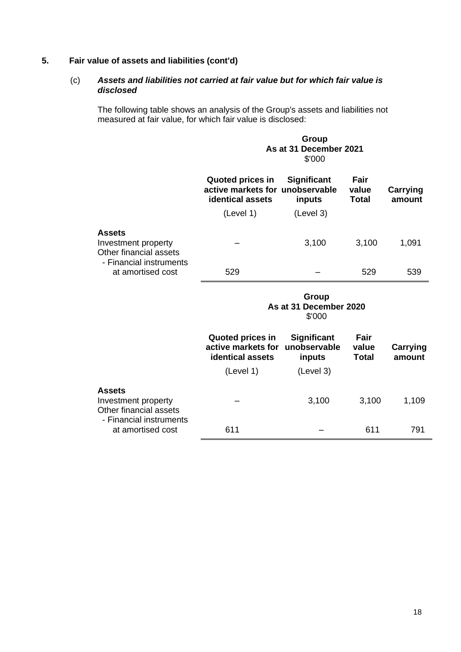# **5. Fair value of assets and liabilities (cont'd)**

# (c) *Assets and liabilities not carried at fair value but for which fair value is disclosed*

The following table shows an analysis of the Group's assets and liabilities not measured at fair value, for which fair value is disclosed:

|                                                                                           |                                                                                | Group<br>As at 31 December 2021<br>\$'000                 |                               |                           |
|-------------------------------------------------------------------------------------------|--------------------------------------------------------------------------------|-----------------------------------------------------------|-------------------------------|---------------------------|
|                                                                                           | <b>Quoted prices in</b><br>active markets for<br>identical assets              | <b>Significant</b><br>unobservable<br>inputs              | Fair<br>value<br><b>Total</b> | <b>Carrying</b><br>amount |
|                                                                                           | (Level 1)                                                                      | (Level 3)                                                 |                               |                           |
| <b>Assets</b><br>Investment property<br>Other financial assets                            |                                                                                | 3,100                                                     | 3,100                         | 1,091                     |
| - Financial instruments<br>at amortised cost                                              | 529                                                                            |                                                           | 529                           | 539                       |
|                                                                                           |                                                                                | Group<br>As at 31 December 2020<br>\$'000                 |                               |                           |
|                                                                                           | <b>Quoted prices in</b><br>active markets for<br>identical assets<br>(Level 1) | <b>Significant</b><br>unobservable<br>inputs<br>(Level 3) | Fair<br>value<br><b>Total</b> | Carrying<br>amount        |
|                                                                                           |                                                                                |                                                           |                               |                           |
| <b>Assets</b><br>Investment property<br>Other financial assets<br>- Financial instruments |                                                                                | 3,100                                                     | 3,100                         | 1,109                     |
| at amortised cost                                                                         | 611                                                                            |                                                           | 611                           | 791                       |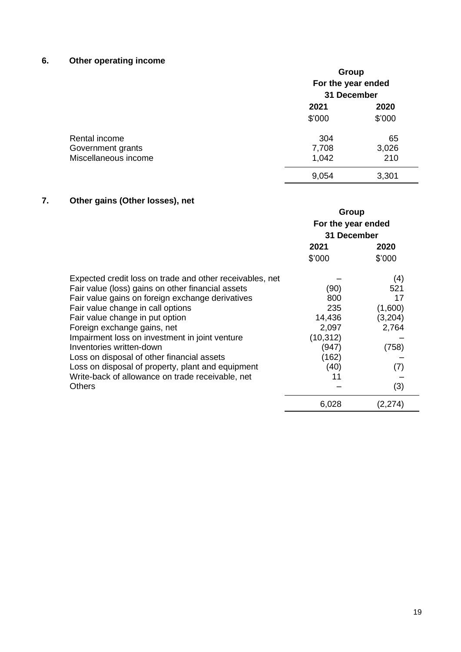# **6. Other operating income**

|                      | Group<br>For the year ended<br>31 December |        |  |
|----------------------|--------------------------------------------|--------|--|
|                      |                                            |        |  |
|                      | 2021                                       | 2020   |  |
|                      | \$'000                                     | \$'000 |  |
| Rental income        | 304                                        | 65     |  |
| Government grants    | 7,708                                      | 3,026  |  |
| Miscellaneous income | 1,042                                      | 210    |  |
|                      | 9,054                                      | 3,301  |  |

# **7. Other gains (Other losses), net**

|                                                          | Group<br>For the year ended<br>31 December |         |
|----------------------------------------------------------|--------------------------------------------|---------|
|                                                          | 2021                                       | 2020    |
|                                                          | \$'000                                     | \$'000  |
| Expected credit loss on trade and other receivables, net |                                            | (4)     |
| Fair value (loss) gains on other financial assets        | (90)                                       | 521     |
| Fair value gains on foreign exchange derivatives         | 800                                        | 17      |
| Fair value change in call options                        | 235                                        | (1,600) |
| Fair value change in put option                          | 14,436                                     | (3,204) |
| Foreign exchange gains, net                              | 2,097                                      | 2,764   |
| Impairment loss on investment in joint venture           | (10, 312)                                  |         |
| Inventories written-down                                 | (947)                                      | (758)   |
| Loss on disposal of other financial assets               | (162)                                      |         |
| Loss on disposal of property, plant and equipment        | (40)                                       | (7)     |
| Write-back of allowance on trade receivable, net         | 11                                         |         |
| <b>Others</b>                                            |                                            | (3)     |
|                                                          | 6,028                                      | (2,274) |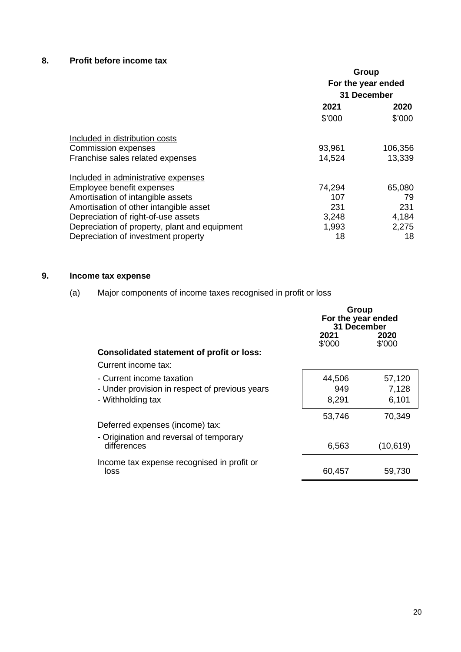# **8. Profit before income tax**

|                                               | <b>Group</b><br>For the year ended |         |  |
|-----------------------------------------------|------------------------------------|---------|--|
|                                               |                                    |         |  |
|                                               | 31 December                        |         |  |
|                                               | 2021                               | 2020    |  |
|                                               | \$'000                             | \$'000  |  |
| Included in distribution costs                |                                    |         |  |
| <b>Commission expenses</b>                    | 93,961                             | 106,356 |  |
| Franchise sales related expenses              | 14,524                             | 13,339  |  |
| Included in administrative expenses           |                                    |         |  |
| Employee benefit expenses                     | 74,294                             | 65,080  |  |
| Amortisation of intangible assets             | 107                                | 79      |  |
| Amortisation of other intangible asset        | 231                                | 231     |  |
| Depreciation of right-of-use assets           | 3,248                              | 4,184   |  |
| Depreciation of property, plant and equipment | 1,993                              | 2,275   |  |
| Depreciation of investment property           | 18                                 | 18      |  |

# **9. Income tax expense**

(a) Major components of income taxes recognised in profit or loss

|                                                  | Group<br>For the year ended<br>31 December |                |  |
|--------------------------------------------------|--------------------------------------------|----------------|--|
|                                                  | 2021<br>\$'000                             | 2020<br>\$'000 |  |
| <b>Consolidated statement of profit or loss:</b> |                                            |                |  |
| Current income tax:                              |                                            |                |  |
| - Current income taxation                        | 44,506                                     | 57,120         |  |
| - Under provision in respect of previous years   | 949                                        | 7,128          |  |
| - Withholding tax                                | 8,291                                      | 6,101          |  |
|                                                  | 53,746                                     | 70,349         |  |
| Deferred expenses (income) tax:                  |                                            |                |  |
| - Origination and reversal of temporary          |                                            |                |  |
| differences                                      | 6,563                                      | (10, 619)      |  |
| Income tax expense recognised in profit or       |                                            |                |  |
| loss                                             | 60,457                                     | 59,730         |  |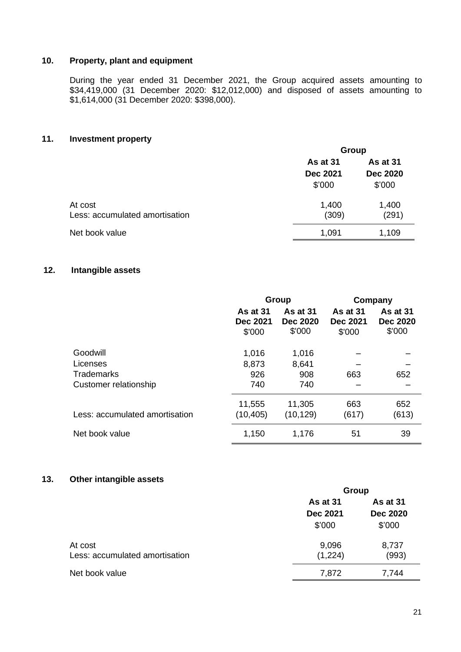### **10. Property, plant and equipment**

During the year ended 31 December 2021, the Group acquired assets amounting to \$34,419,000 (31 December 2020: \$12,012,000) and disposed of assets amounting to \$1,614,000 (31 December 2020: \$398,000).

### **11. Investment property**

|                                | Group           |                 |  |
|--------------------------------|-----------------|-----------------|--|
|                                | As at 31        | As at 31        |  |
|                                | <b>Dec 2021</b> | <b>Dec 2020</b> |  |
|                                | \$'000          | \$'000          |  |
| At cost                        | 1,400           | 1,400           |  |
| Less: accumulated amortisation | (309)           | (291)           |  |
| Net book value                 | 1,091           | 1,109           |  |
|                                |                 |                 |  |

# **12. Intangible assets**

|                                | Group                                        |                                       |                                              | Company                                      |
|--------------------------------|----------------------------------------------|---------------------------------------|----------------------------------------------|----------------------------------------------|
|                                | <b>As at 31</b><br><b>Dec 2021</b><br>\$'000 | As at 31<br><b>Dec 2020</b><br>\$'000 | <b>As at 31</b><br><b>Dec 2021</b><br>\$'000 | <b>As at 31</b><br><b>Dec 2020</b><br>\$'000 |
| Goodwill                       | 1,016                                        | 1,016                                 |                                              |                                              |
| Licenses                       | 8,873                                        | 8,641                                 |                                              |                                              |
| <b>Trademarks</b>              | 926                                          | 908                                   | 663                                          | 652                                          |
| Customer relationship          | 740                                          | 740                                   |                                              |                                              |
|                                | 11,555                                       | 11,305                                | 663                                          | 652                                          |
| Less: accumulated amortisation | (10, 405)                                    | (10, 129)                             | (617)                                        | (613)                                        |
| Net book value                 | 1,150                                        | 1,176                                 | 51                                           | 39                                           |

### **13. Other intangible assets**

|                                | Group           |                 |  |
|--------------------------------|-----------------|-----------------|--|
|                                | As at 31        | As at 31        |  |
|                                | <b>Dec 2021</b> | <b>Dec 2020</b> |  |
|                                | \$'000          | \$'000          |  |
| At cost                        | 9,096           | 8,737           |  |
| Less: accumulated amortisation | (1,224)         | (993)           |  |
| Net book value                 | 7,872           | 7,744           |  |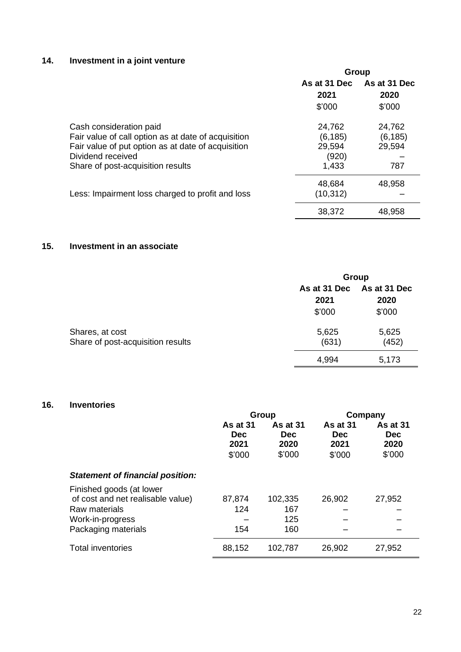# **14. Investment in a joint venture**

|                                                     | <b>Group</b> |              |  |
|-----------------------------------------------------|--------------|--------------|--|
|                                                     | As at 31 Dec | As at 31 Dec |  |
|                                                     | 2021         | 2020         |  |
|                                                     | \$'000       | \$'000       |  |
| Cash consideration paid                             | 24,762       | 24,762       |  |
| Fair value of call option as at date of acquisition | (6, 185)     | (6, 185)     |  |
| Fair value of put option as at date of acquisition  | 29,594       | 29,594       |  |
| Dividend received                                   | (920)        |              |  |
| Share of post-acquisition results                   | 1,433        | 787          |  |
|                                                     | 48,684       | 48,958       |  |
| Less: Impairment loss charged to profit and loss    | (10, 312)    |              |  |
|                                                     | 38,372       | 48,958       |  |

### **15. Investment in an associate**

|                                                      | Group                          |                                |  |  |
|------------------------------------------------------|--------------------------------|--------------------------------|--|--|
|                                                      | As at 31 Dec<br>2021<br>\$'000 | As at 31 Dec<br>2020<br>\$'000 |  |  |
| Shares, at cost<br>Share of post-acquisition results | 5,625<br>(631)                 | 5,625<br>(452)                 |  |  |
|                                                      | 4,994                          | 5,173                          |  |  |

# **16. Inventories**

|                                                                                                                           | Group                                           |                                                 |                                                 | Company                                         |
|---------------------------------------------------------------------------------------------------------------------------|-------------------------------------------------|-------------------------------------------------|-------------------------------------------------|-------------------------------------------------|
|                                                                                                                           | <b>As at 31</b><br><b>Dec</b><br>2021<br>\$'000 | <b>As at 31</b><br><b>Dec</b><br>2020<br>\$'000 | <b>As at 31</b><br><b>Dec</b><br>2021<br>\$'000 | <b>As at 31</b><br><b>Dec</b><br>2020<br>\$'000 |
| <b>Statement of financial position:</b>                                                                                   |                                                 |                                                 |                                                 |                                                 |
| Finished goods (at lower<br>of cost and net realisable value)<br>Raw materials<br>Work-in-progress<br>Packaging materials | 87,874<br>124<br>154                            | 102,335<br>167<br>125<br>160                    | 26,902                                          | 27,952                                          |
| <b>Total inventories</b>                                                                                                  | 88,152                                          | 102,787                                         | 26,902                                          | 27,952                                          |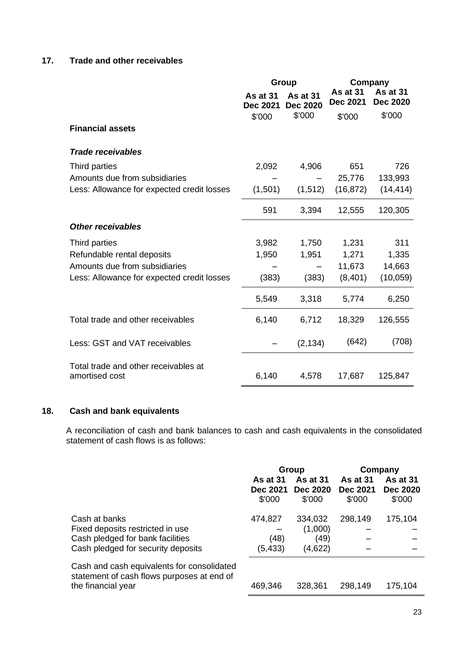# **17. Trade and other receivables**

|                                                        | Group                       |                             |                                    | Company                     |  |
|--------------------------------------------------------|-----------------------------|-----------------------------|------------------------------------|-----------------------------|--|
|                                                        | As at 31<br><b>Dec 2021</b> | As at 31<br><b>Dec 2020</b> | <b>As at 31</b><br><b>Dec 2021</b> | As at 31<br><b>Dec 2020</b> |  |
|                                                        | \$'000                      | \$'000                      | \$'000                             | \$'000                      |  |
| <b>Financial assets</b>                                |                             |                             |                                    |                             |  |
| <b>Trade receivables</b>                               |                             |                             |                                    |                             |  |
| Third parties                                          | 2,092                       | 4,906                       | 651                                | 726                         |  |
| Amounts due from subsidiaries                          |                             |                             | 25,776                             | 133,993                     |  |
| Less: Allowance for expected credit losses             | (1,501)                     | (1, 512)                    | (16, 872)                          | (14, 414)                   |  |
|                                                        | 591                         | 3,394                       | 12,555                             | 120,305                     |  |
| <b>Other receivables</b>                               |                             |                             |                                    |                             |  |
| Third parties                                          | 3,982                       | 1,750                       | 1,231                              | 311                         |  |
| Refundable rental deposits                             | 1,950                       | 1,951                       | 1,271                              | 1,335                       |  |
| Amounts due from subsidiaries                          |                             |                             | 11,673                             | 14,663                      |  |
| Less: Allowance for expected credit losses             | (383)                       | (383)                       | (8,401)                            | (10,059)                    |  |
|                                                        | 5,549                       | 3,318                       | 5,774                              | 6,250                       |  |
| Total trade and other receivables                      | 6,140                       | 6,712                       | 18,329                             | 126,555                     |  |
| Less: GST and VAT receivables                          |                             | (2, 134)                    | (642)                              | (708)                       |  |
| Total trade and other receivables at<br>amortised cost | 6,140                       | 4,578                       | 17,687                             | 125,847                     |  |

# **18. Cash and bank equivalents**

A reconciliation of cash and bank balances to cash and cash equivalents in the consolidated statement of cash flows is as follows:

|                                                                                                                             | <b>As at 31</b><br>Dec 2021<br>\$'000 | Group<br><b>As at 31</b><br><b>Dec 2020</b><br>\$'000 | <b>As at 31</b><br>Dec 2021<br>\$'000 | Company<br>As at 31<br><b>Dec 2020</b><br>\$'000 |
|-----------------------------------------------------------------------------------------------------------------------------|---------------------------------------|-------------------------------------------------------|---------------------------------------|--------------------------------------------------|
| Cash at banks<br>Fixed deposits restricted in use<br>Cash pledged for bank facilities<br>Cash pledged for security deposits | 474,827<br>(48)<br>(5, 433)           | 334,032<br>(1,000)<br>(49)<br>(4,622)                 | 298,149                               | 175,104                                          |
| Cash and cash equivalents for consolidated<br>statement of cash flows purposes at end of<br>the financial year              | 469,346                               | 328,361                                               | 298,149                               | 175,104                                          |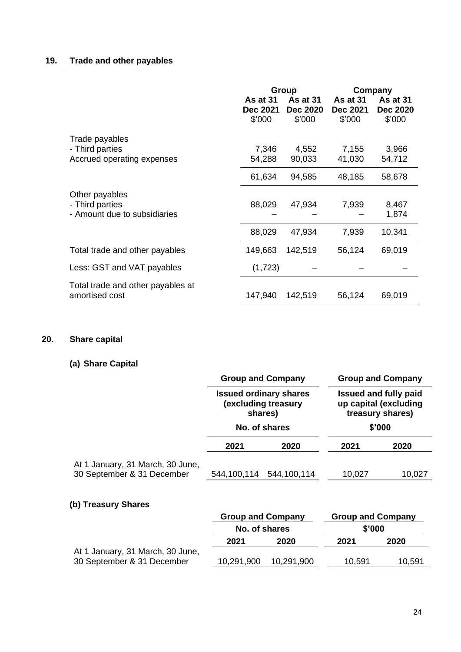# **19. Trade and other payables**

|                                                     |                                              | <b>Group</b>                                 | Company                                      |                                       |
|-----------------------------------------------------|----------------------------------------------|----------------------------------------------|----------------------------------------------|---------------------------------------|
|                                                     | <b>As at 31</b><br><b>Dec 2021</b><br>\$'000 | <b>As at 31</b><br><b>Dec 2020</b><br>\$'000 | <b>As at 31</b><br><b>Dec 2021</b><br>\$'000 | As at 31<br><b>Dec 2020</b><br>\$'000 |
| Trade payables                                      |                                              |                                              |                                              |                                       |
| - Third parties                                     | 7,346                                        | 4,552                                        | 7,155                                        | 3,966                                 |
| Accrued operating expenses                          | 54,288                                       | 90,033                                       | 41,030                                       | 54,712                                |
|                                                     | 61,634                                       | 94,585                                       | 48,185                                       | 58,678                                |
| Other payables                                      |                                              |                                              |                                              |                                       |
| - Third parties                                     | 88,029                                       | 47,934                                       | 7,939                                        | 8,467                                 |
| - Amount due to subsidiaries                        |                                              |                                              |                                              | 1,874                                 |
|                                                     | 88,029                                       | 47,934                                       | 7,939                                        | 10,341                                |
| Total trade and other payables                      | 149,663                                      | 142,519                                      | 56,124                                       | 69,019                                |
| Less: GST and VAT payables                          | (1,723)                                      |                                              |                                              |                                       |
| Total trade and other payables at<br>amortised cost | 147,940                                      | 142,519                                      | 56,124                                       | 69,019                                |

# **20. Share capital**

# **(a) Share Capital**

|                                                                | <b>Group and Company</b>                                                         |             | <b>Group and Company</b>                                                  |        |  |
|----------------------------------------------------------------|----------------------------------------------------------------------------------|-------------|---------------------------------------------------------------------------|--------|--|
|                                                                | <b>Issued ordinary shares</b><br>(excluding treasury<br>shares)<br>No. of shares |             | <b>Issued and fully paid</b><br>up capital (excluding<br>treasury shares) |        |  |
|                                                                |                                                                                  |             | \$'000                                                                    |        |  |
|                                                                | 2021                                                                             | 2020        | 2021                                                                      | 2020   |  |
| At 1 January, 31 March, 30 June,<br>30 September & 31 December | 544,100,114                                                                      | 544,100,114 | 10,027                                                                    | 10,027 |  |

# **(b) Treasury Shares**

|                                  | <b>Group and Company</b> |            | <b>Group and Company</b> |        |        |  |
|----------------------------------|--------------------------|------------|--------------------------|--------|--------|--|
|                                  | No. of shares            |            |                          |        | \$'000 |  |
|                                  | 2021                     | 2020       | 2021                     | 2020   |        |  |
| At 1 January, 31 March, 30 June, |                          |            |                          |        |        |  |
| 30 September & 31 December       | 10,291,900               | 10,291,900 | 10,591                   | 10,591 |        |  |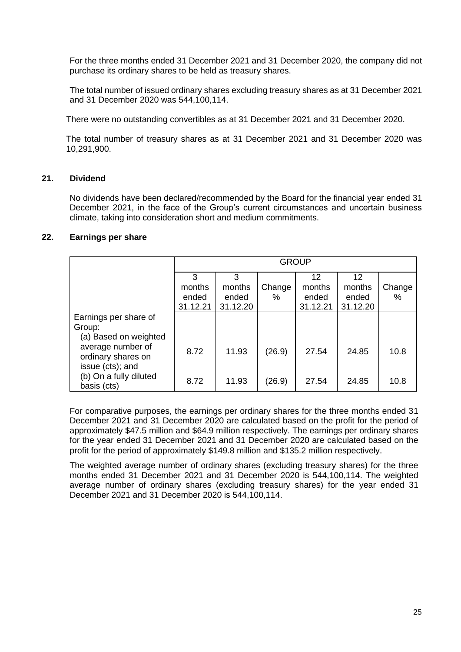For the three months ended 31 December 2021 and 31 December 2020, the company did not purchase its ordinary shares to be held as treasury shares.

The total number of issued ordinary shares excluding treasury shares as at 31 December 2021 and 31 December 2020 was 544,100,114.

There were no outstanding convertibles as at 31 December 2021 and 31 December 2020.

The total number of treasury shares as at 31 December 2021 and 31 December 2020 was 10,291,900.

#### **21. Dividend**

No dividends have been declared/recommended by the Board for the financial year ended 31 December 2021, in the face of the Group's current circumstances and uncertain business climate, taking into consideration short and medium commitments.

#### **22. Earnings per share**

|                                                             |                                  | <b>GROUP</b>                     |             |                                   |                                   |             |
|-------------------------------------------------------------|----------------------------------|----------------------------------|-------------|-----------------------------------|-----------------------------------|-------------|
|                                                             | 3<br>months<br>ended<br>31.12.21 | 3<br>months<br>ended<br>31.12.20 | Change<br>% | 12<br>months<br>ended<br>31.12.21 | 12<br>months<br>ended<br>31.12.20 | Change<br>% |
| Earnings per share of<br>Group:<br>(a) Based on weighted    |                                  |                                  |             |                                   |                                   |             |
| average number of<br>ordinary shares on<br>issue (cts); and | 8.72                             | 11.93                            | (26.9)      | 27.54                             | 24.85                             | 10.8        |
| (b) On a fully diluted<br>basis (cts)                       | 8.72                             | 11.93                            | (26.9)      | 27.54                             | 24.85                             | 10.8        |

For comparative purposes, the earnings per ordinary shares for the three months ended 31 December 2021 and 31 December 2020 are calculated based on the profit for the period of approximately \$47.5 million and \$64.9 million respectively. The earnings per ordinary shares for the year ended 31 December 2021 and 31 December 2020 are calculated based on the profit for the period of approximately \$149.8 million and \$135.2 million respectively.

The weighted average number of ordinary shares (excluding treasury shares) for the three months ended 31 December 2021 and 31 December 2020 is 544,100,114. The weighted average number of ordinary shares (excluding treasury shares) for the year ended 31 December 2021 and 31 December 2020 is 544,100,114.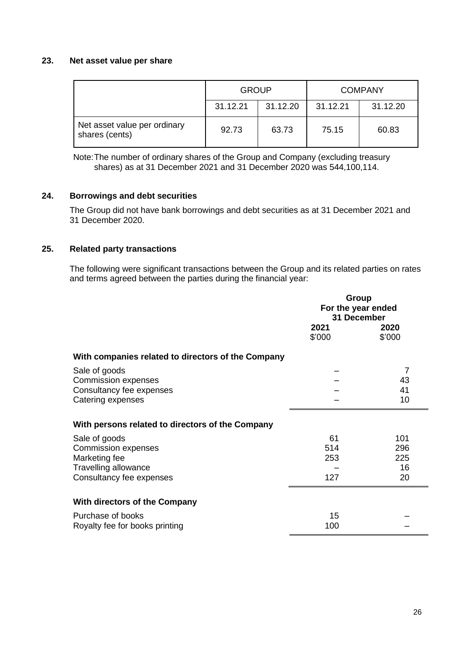#### **23. Net asset value per share**

|                                                | <b>GROUP</b> |          |          | <b>COMPANY</b> |
|------------------------------------------------|--------------|----------|----------|----------------|
|                                                | 31.12.21     | 31.12.20 | 31.12.21 | 31.12.20       |
| Net asset value per ordinary<br>shares (cents) | 92.73        | 63.73    | 75.15    | 60.83          |

Note:The number of ordinary shares of the Group and Company (excluding treasury shares) as at 31 December 2021 and 31 December 2020 was 544,100,114.

#### **24. Borrowings and debt securities**

The Group did not have bank borrowings and debt securities as at 31 December 2021 and 31 December 2020.

### **25. Related party transactions**

The following were significant transactions between the Group and its related parties on rates and terms agreed between the parties during the financial year:

|                                                    | Group<br>For the year ended<br>31 December |                |  |
|----------------------------------------------------|--------------------------------------------|----------------|--|
|                                                    | 2021<br>\$'000                             | 2020<br>\$'000 |  |
| With companies related to directors of the Company |                                            |                |  |
| Sale of goods                                      |                                            | 7              |  |
| <b>Commission expenses</b>                         |                                            | 43             |  |
| Consultancy fee expenses                           |                                            | 41             |  |
| Catering expenses                                  |                                            | 10             |  |
| With persons related to directors of the Company   |                                            |                |  |
| Sale of goods                                      | 61                                         | 101            |  |
| <b>Commission expenses</b>                         | 514                                        | 296            |  |
| Marketing fee                                      | 253                                        | 225            |  |
| Travelling allowance                               |                                            | 16             |  |
| Consultancy fee expenses                           | 127                                        | 20             |  |
| <b>With directors of the Company</b>               |                                            |                |  |
| Purchase of books                                  | 15                                         |                |  |
| Royalty fee for books printing                     | 100                                        |                |  |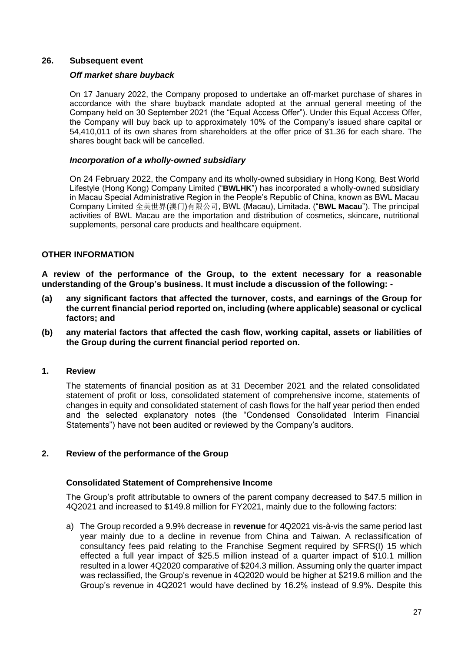#### **26. Subsequent event**

#### *Off market share buyback*

On 17 January 2022, the Company proposed to undertake an off-market purchase of shares in accordance with the share buyback mandate adopted at the annual general meeting of the Company held on 30 September 2021 (the "Equal Access Offer"). Under this Equal Access Offer, the Company will buy back up to approximately 10% of the Company's issued share capital or 54,410,011 of its own shares from shareholders at the offer price of \$1.36 for each share. The shares bought back will be cancelled.

#### *Incorporation of a wholly-owned subsidiary*

On 24 February 2022, the Company and its wholly-owned subsidiary in Hong Kong, Best World Lifestyle (Hong Kong) Company Limited ("**BWLHK**") has incorporated a wholly-owned subsidiary in Macau Special Administrative Region in the People's Republic of China, known as BWL Macau Company Limited 全美世界(澳门)有限公司, BWL (Macau), Limitada. ("**BWL Macau**"). The principal activities of BWL Macau are the importation and distribution of cosmetics, skincare, nutritional supplements, personal care products and healthcare equipment.

### **OTHER INFORMATION**

**A review of the performance of the Group, to the extent necessary for a reasonable understanding of the Group's business. It must include a discussion of the following: -**

- **(a) any significant factors that affected the turnover, costs, and earnings of the Group for the current financial period reported on, including (where applicable) seasonal or cyclical factors; and**
- **(b) any material factors that affected the cash flow, working capital, assets or liabilities of the Group during the current financial period reported on.**

#### **1. Review**

The statements of financial position as at 31 December 2021 and the related consolidated statement of profit or loss, consolidated statement of comprehensive income, statements of changes in equity and consolidated statement of cash flows for the half year period then ended and the selected explanatory notes (the "Condensed Consolidated Interim Financial Statements") have not been audited or reviewed by the Company's auditors.

### **2. Review of the performance of the Group**

### **Consolidated Statement of Comprehensive Income**

The Group's profit attributable to owners of the parent company decreased to \$47.5 million in 4Q2021 and increased to \$149.8 million for FY2021, mainly due to the following factors:

a) The Group recorded a 9.9% decrease in **revenue** for 4Q2021 vis-à-vis the same period last year mainly due to a decline in revenue from China and Taiwan. A reclassification of consultancy fees paid relating to the Franchise Segment required by SFRS(I) 15 which effected a full year impact of \$25.5 million instead of a quarter impact of \$10.1 million resulted in a lower 4Q2020 comparative of \$204.3 million. Assuming only the quarter impact was reclassified, the Group's revenue in 4Q2020 would be higher at \$219.6 million and the Group's revenue in 4Q2021 would have declined by 16.2% instead of 9.9%. Despite this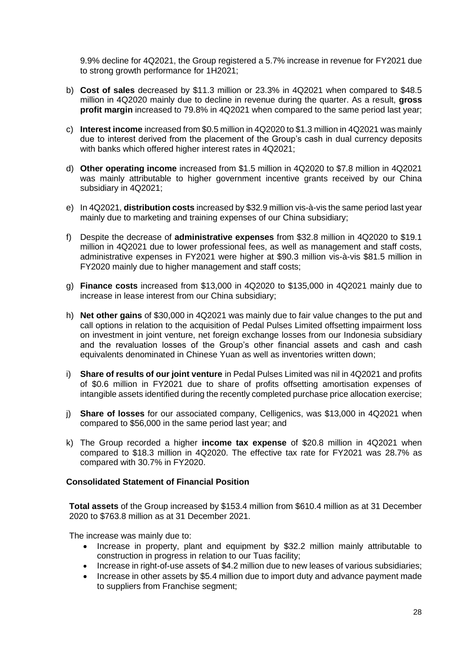9.9% decline for 4Q2021, the Group registered a 5.7% increase in revenue for FY2021 due to strong growth performance for 1H2021;

- b) **Cost of sales** decreased by \$11.3 million or 23.3% in 4Q2021 when compared to \$48.5 million in 4Q2020 mainly due to decline in revenue during the quarter. As a result, **gross profit margin** increased to 79.8% in 4Q2021 when compared to the same period last year;
- c) **Interest income** increased from \$0.5 million in 4Q2020 to \$1.3 million in 4Q2021 was mainly due to interest derived from the placement of the Group's cash in dual currency deposits with banks which offered higher interest rates in 4Q2021;
- d) **Other operating income** increased from \$1.5 million in 4Q2020 to \$7.8 million in 4Q2021 was mainly attributable to higher government incentive grants received by our China subsidiary in 4Q2021;
- e) In 4Q2021, **distribution costs** increased by \$32.9 million vis-à-vis the same period last year mainly due to marketing and training expenses of our China subsidiary;
- f) Despite the decrease of **administrative expenses** from \$32.8 million in 4Q2020 to \$19.1 million in 4Q2021 due to lower professional fees, as well as management and staff costs, administrative expenses in FY2021 were higher at \$90.3 million vis-à-vis \$81.5 million in FY2020 mainly due to higher management and staff costs;
- g) **Finance costs** increased from \$13,000 in 4Q2020 to \$135,000 in 4Q2021 mainly due to increase in lease interest from our China subsidiary;
- h) **Net other gains** of \$30,000 in 4Q2021 was mainly due to fair value changes to the put and call options in relation to the acquisition of Pedal Pulses Limited offsetting impairment loss on investment in joint venture, net foreign exchange losses from our Indonesia subsidiary and the revaluation losses of the Group's other financial assets and cash and cash equivalents denominated in Chinese Yuan as well as inventories written down;
- i) **Share of results of our joint venture** in Pedal Pulses Limited was nil in 4Q2021 and profits of \$0.6 million in FY2021 due to share of profits offsetting amortisation expenses of intangible assets identified during the recently completed purchase price allocation exercise;
- j) **Share of losses** for our associated company, Celligenics, was \$13,000 in 4Q2021 when compared to \$56,000 in the same period last year; and
- k) The Group recorded a higher **income tax expense** of \$20.8 million in 4Q2021 when compared to \$18.3 million in 4Q2020. The effective tax rate for FY2021 was 28.7% as compared with 30.7% in FY2020.

### **Consolidated Statement of Financial Position**

**Total assets** of the Group increased by \$153.4 million from \$610.4 million as at 31 December 2020 to \$763.8 million as at 31 December 2021.

The increase was mainly due to:

- Increase in property, plant and equipment by \$32.2 million mainly attributable to construction in progress in relation to our Tuas facility;
- Increase in right-of-use assets of \$4.2 million due to new leases of various subsidiaries;
- Increase in other assets by \$5.4 million due to import duty and advance payment made to suppliers from Franchise segment;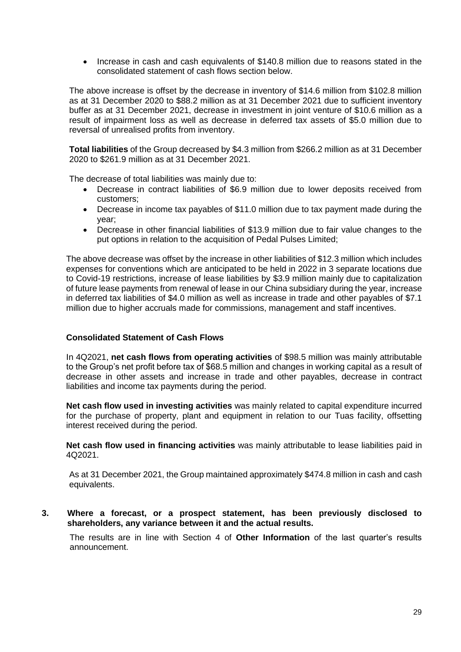• Increase in cash and cash equivalents of \$140.8 million due to reasons stated in the consolidated statement of cash flows section below.

The above increase is offset by the decrease in inventory of \$14.6 million from \$102.8 million as at 31 December 2020 to \$88.2 million as at 31 December 2021 due to sufficient inventory buffer as at 31 December 2021, decrease in investment in joint venture of \$10.6 million as a result of impairment loss as well as decrease in deferred tax assets of \$5.0 million due to reversal of unrealised profits from inventory.

**Total liabilities** of the Group decreased by \$4.3 million from \$266.2 million as at 31 December 2020 to \$261.9 million as at 31 December 2021.

The decrease of total liabilities was mainly due to:

- Decrease in contract liabilities of \$6.9 million due to lower deposits received from customers;
- Decrease in income tax payables of \$11.0 million due to tax payment made during the year;
- Decrease in other financial liabilities of \$13.9 million due to fair value changes to the put options in relation to the acquisition of Pedal Pulses Limited;

The above decrease was offset by the increase in other liabilities of \$12.3 million which includes expenses for conventions which are anticipated to be held in 2022 in 3 separate locations due to Covid-19 restrictions, increase of lease liabilities by \$3.9 million mainly due to capitalization of future lease payments from renewal of lease in our China subsidiary during the year, increase in deferred tax liabilities of \$4.0 million as well as increase in trade and other payables of \$7.1 million due to higher accruals made for commissions, management and staff incentives.

### **Consolidated Statement of Cash Flows**

In 4Q2021, **net cash flows from operating activities** of \$98.5 million was mainly attributable to the Group's net profit before tax of \$68.5 million and changes in working capital as a result of decrease in other assets and increase in trade and other payables, decrease in contract liabilities and income tax payments during the period.

**Net cash flow used in investing activities** was mainly related to capital expenditure incurred for the purchase of property, plant and equipment in relation to our Tuas facility, offsetting interest received during the period.

**Net cash flow used in financing activities** was mainly attributable to lease liabilities paid in 4Q2021.

As at 31 December 2021, the Group maintained approximately \$474.8 million in cash and cash equivalents.

**3. Where a forecast, or a prospect statement, has been previously disclosed to shareholders, any variance between it and the actual results.**

The results are in line with Section 4 of **Other Information** of the last quarter's results announcement.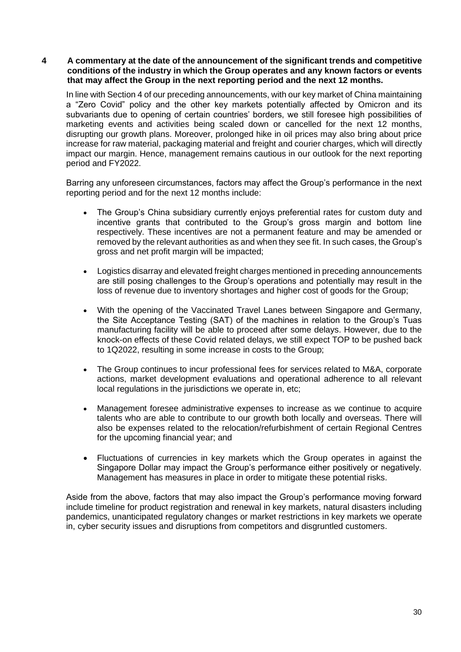### **4 A commentary at the date of the announcement of the significant trends and competitive conditions of the industry in which the Group operates and any known factors or events that may affect the Group in the next reporting period and the next 12 months.**

In line with Section 4 of our preceding announcements, with our key market of China maintaining a "Zero Covid" policy and the other key markets potentially affected by Omicron and its subvariants due to opening of certain countries' borders, we still foresee high possibilities of marketing events and activities being scaled down or cancelled for the next 12 months, disrupting our growth plans. Moreover, prolonged hike in oil prices may also bring about price increase for raw material, packaging material and freight and courier charges, which will directly impact our margin. Hence, management remains cautious in our outlook for the next reporting period and FY2022.

Barring any unforeseen circumstances, factors may affect the Group's performance in the next reporting period and for the next 12 months include:

- The Group's China subsidiary currently enjoys preferential rates for custom duty and incentive grants that contributed to the Group's gross margin and bottom line respectively. These incentives are not a permanent feature and may be amended or removed by the relevant authorities as and when they see fit. In such cases, the Group's gross and net profit margin will be impacted;
- Logistics disarray and elevated freight charges mentioned in preceding announcements are still posing challenges to the Group's operations and potentially may result in the loss of revenue due to inventory shortages and higher cost of goods for the Group;
- With the opening of the Vaccinated Travel Lanes between Singapore and Germany, the Site Acceptance Testing (SAT) of the machines in relation to the Group's Tuas manufacturing facility will be able to proceed after some delays. However, due to the knock-on effects of these Covid related delays, we still expect TOP to be pushed back to 1Q2022, resulting in some increase in costs to the Group;
- The Group continues to incur professional fees for services related to M&A, corporate actions, market development evaluations and operational adherence to all relevant local regulations in the jurisdictions we operate in, etc;
- Management foresee administrative expenses to increase as we continue to acquire talents who are able to contribute to our growth both locally and overseas. There will also be expenses related to the relocation/refurbishment of certain Regional Centres for the upcoming financial year; and
- Fluctuations of currencies in key markets which the Group operates in against the Singapore Dollar may impact the Group's performance either positively or negatively. Management has measures in place in order to mitigate these potential risks.

Aside from the above, factors that may also impact the Group's performance moving forward include timeline for product registration and renewal in key markets, natural disasters including pandemics, unanticipated regulatory changes or market restrictions in key markets we operate in, cyber security issues and disruptions from competitors and disgruntled customers.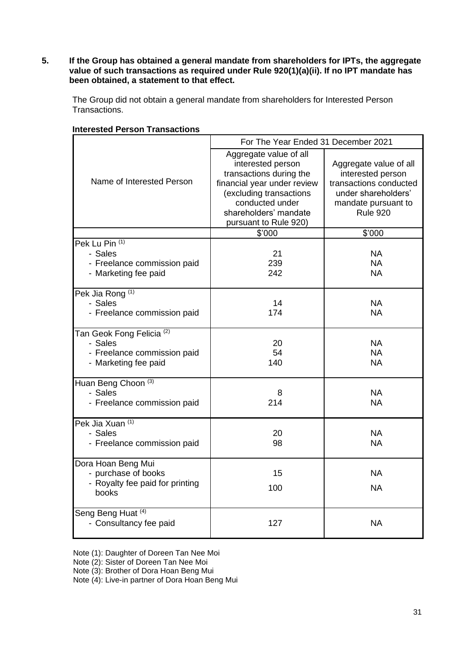**5. If the Group has obtained a general mandate from shareholders for IPTs, the aggregate value of such transactions as required under Rule 920(1)(a)(ii). If no IPT mandate has been obtained, a statement to that effect.**

The Group did not obtain a general mandate from shareholders for Interested Person Transactions.

|                                                                                                        | For The Year Ended 31 December 2021                                                                                                                                                                   |                                                                                                                                        |  |
|--------------------------------------------------------------------------------------------------------|-------------------------------------------------------------------------------------------------------------------------------------------------------------------------------------------------------|----------------------------------------------------------------------------------------------------------------------------------------|--|
| Name of Interested Person                                                                              | Aggregate value of all<br>interested person<br>transactions during the<br>financial year under review<br>(excluding transactions<br>conducted under<br>shareholders' mandate<br>pursuant to Rule 920) | Aggregate value of all<br>interested person<br>transactions conducted<br>under shareholders'<br>mandate pursuant to<br><b>Rule 920</b> |  |
|                                                                                                        | \$'000                                                                                                                                                                                                | \$'000                                                                                                                                 |  |
| Pek Lu Pin (1)<br>- Sales<br>- Freelance commission paid<br>- Marketing fee paid                       | 21<br>239<br>242                                                                                                                                                                                      | <b>NA</b><br>NA.<br><b>NA</b>                                                                                                          |  |
| Pek Jia Rong <sup>(1)</sup><br>- Sales<br>- Freelance commission paid                                  | 14<br>174                                                                                                                                                                                             | <b>NA</b><br><b>NA</b>                                                                                                                 |  |
| Tan Geok Fong Felicia <sup>(2)</sup><br>- Sales<br>- Freelance commission paid<br>- Marketing fee paid | 20<br>54<br>140                                                                                                                                                                                       | <b>NA</b><br>NA.<br>NA.                                                                                                                |  |
| Huan Beng Choon (3)<br>- Sales<br>- Freelance commission paid                                          | 8<br>214                                                                                                                                                                                              | <b>NA</b><br><b>NA</b>                                                                                                                 |  |
| Pek Jia Xuan (1)<br>- Sales<br>- Freelance commission paid                                             | 20<br>98                                                                                                                                                                                              | <b>NA</b><br><b>NA</b>                                                                                                                 |  |
| Dora Hoan Beng Mui<br>- purchase of books<br>- Royalty fee paid for printing<br>books                  | 15<br>100                                                                                                                                                                                             | <b>NA</b><br>NA.                                                                                                                       |  |
| Seng Beng Huat (4)<br>- Consultancy fee paid                                                           | 127                                                                                                                                                                                                   | <b>NA</b>                                                                                                                              |  |

#### **Interested Person Transactions**

Note (1): Daughter of Doreen Tan Nee Moi

Note (2): Sister of Doreen Tan Nee Moi

Note (3): Brother of Dora Hoan Beng Mui

Note (4): Live-in partner of Dora Hoan Beng Mui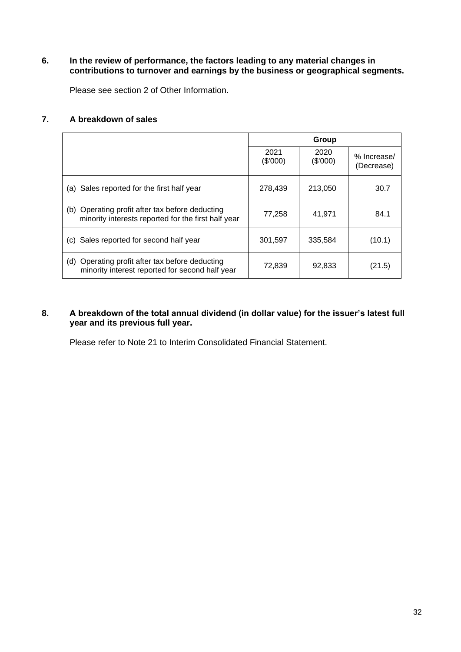# **6. In the review of performance, the factors leading to any material changes in contributions to turnover and earnings by the business or geographical segments.**

Please see section 2 of Other Information.

### **7. A breakdown of sales**

|                                                                                                           |                  | Group            |                           |
|-----------------------------------------------------------------------------------------------------------|------------------|------------------|---------------------------|
|                                                                                                           | 2021<br>(\$'000) | 2020<br>(\$'000) | % Increase/<br>(Decrease) |
| Sales reported for the first half year<br>(a)                                                             | 278.439          | 213.050          | 30.7                      |
| Operating profit after tax before deducting<br>(b)<br>minority interests reported for the first half year | 77,258           | 41,971           | 84.1                      |
| Sales reported for second half year<br>(C)                                                                | 301,597          | 335,584          | (10.1)                    |
| Operating profit after tax before deducting<br>(d)<br>minority interest reported for second half year     | 72,839           | 92,833           | (21.5)                    |

# **8. A breakdown of the total annual dividend (in dollar value) for the issuer's latest full year and its previous full year.**

Please refer to Note 21 to Interim Consolidated Financial Statement.